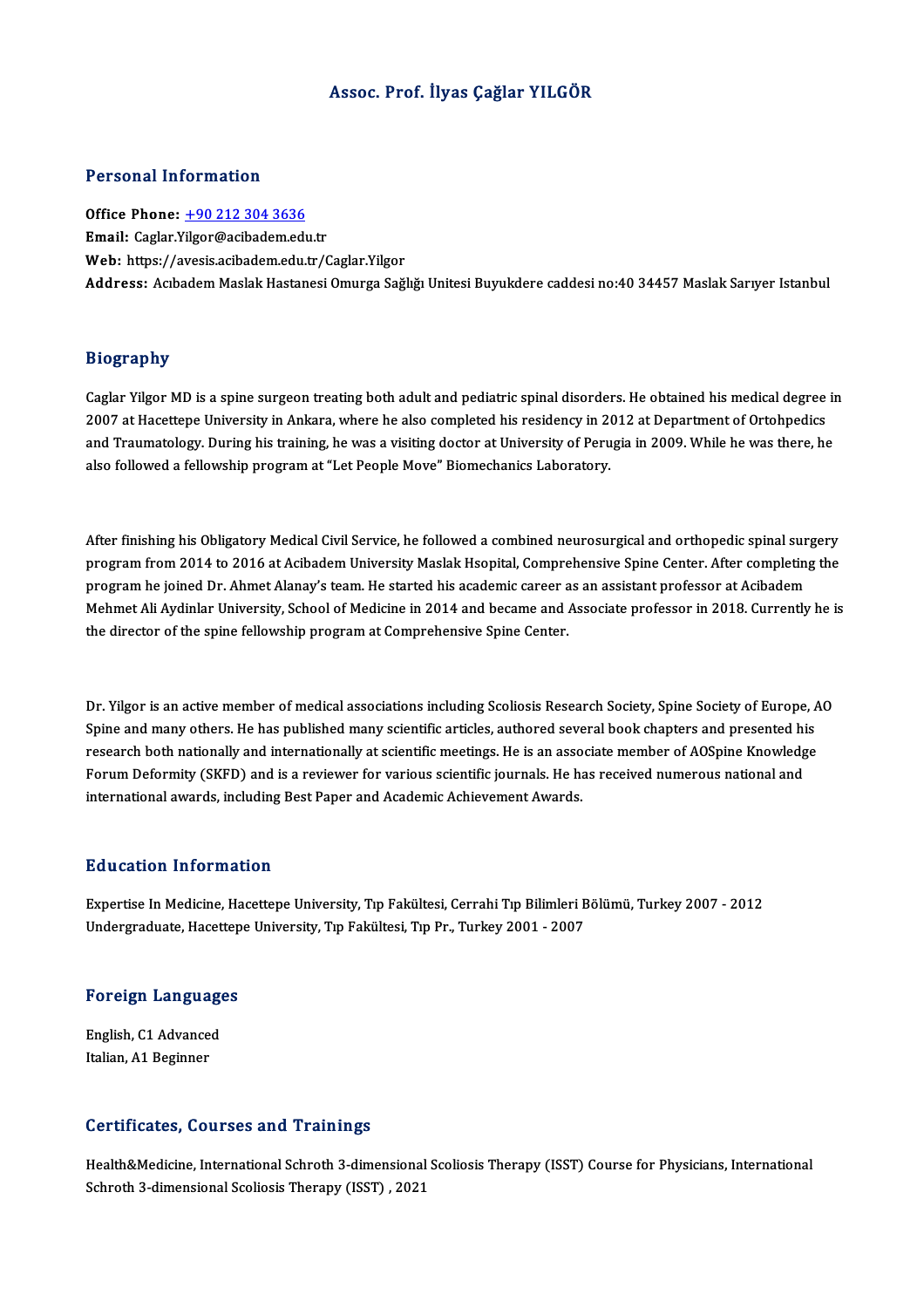### Assoc. Prof. İlyas Çağlar YILGÖR

### Personal Information

Office Phone: +90 212 304 3636 Email: Caglar.[Yilgor@acibadem.ed](tel:+90 212 304 3636)u.tr Web: https://avesis.acibadem.edu.tr/Caglar.Yilgor Address: Acıbadem Maslak Hastanesi Omurga Sağlığı Unitesi Buyukdere caddesi no:40 34457 Maslak Sarıyer Istanbul

#### Biography

Biography<br>Caglar Yilgor MD is a spine surgeon treating both adult and pediatric spinal disorders. He obtained his medical degree in<br>2007 at Hasettane University in Ankara where he also completed his residency in 2012 at De 21051 apm.<br>2007 at Hacettepe University in Ankara, where he also completed his residency in 2012 at Department of Ortohpedics<br>2007 at Hacettepe University in Ankara, where he also completed his residency in 2012 at Departm Caglar Yilgor MD is a spine surgeon treating both adult and pediatric spinal disorders. He obtained his medical degree in<br>2007 at Hacettepe University in Ankara, where he also completed his residency in 2012 at Department 2007 at Hacettepe University in Ankara, where he also completed his residency in 2012 at Department of Ortohpedics<br>and Traumatology. During his training, he was a visiting doctor at University of Perugia in 2009. While he

After finishing his Obligatory Medical Civil Service, he followed a combined neurosurgical and orthopedic spinal surgery<br>Regram from 2014 to 2016 at Asibadom University Meslak Heapital Comprehensive Spine Center, After com After finishing his Obligatory Medical Civil Service, he followed a combined neurosurgical and orthopedic spinal surgery<br>program from 2014 to 2016 at Acibadem University Maslak Hsopital, Comprehensive Spine Center. After c After finishing his Obligatory Medical Civil Service, he followed a combined neurosurgical and orthopedic spinal sur<br>program from 2014 to 2016 at Acibadem University Maslak Hsopital, Comprehensive Spine Center. After compl program from 2014 to 2016 at Acibadem University Maslak Hsopital, Comprehensive Spine Center. After completing the<br>program he joined Dr. Ahmet Alanay's team. He started his academic career as an assistant professor at Acib program he joined Dr. Ahmet Alanay's team. He started his academic career a<br>Mehmet Ali Aydinlar University, School of Medicine in 2014 and became and *l*<br>the director of the spine fellowship program at Comprehensive Spine

Dr. Yilgor is an active member of medical associations including Scoliosis Research Society, Spine Society of Europe, AO<br>Spine and many others. He has published many scientific extigles, authored several book shapters and Dr. Yilgor is an active member of medical associations including Scoliosis Research Society, Spine Society of Europe, A<br>Spine and many others. He has published many scientific articles, authored several book chapters and p Dr. Yilgor is an active member of medical associations including Scoliosis Research Society, Spine Society of Europe, A<br>Spine and many others. He has published many scientific articles, authored several book chapters and p Spine and many others. He has published many scientific articles, authored several book chapters and presented his research both nationally and internationally at scientific meetings. He is an associate member of AOSpine K research both nationally and internationally at scientific meetings. He is an associate member of AOSpine Knowledge

#### Education Information

E**ducation Information**<br>Expertise In Medicine, Hacettepe University, Tıp Fakültesi, Cerrahi Tıp Bilimleri Bölümü, Turkey 2007 - 2012<br>Undergraduate Hasettepe University, Tıp Fakültesi, Tıp Pr. Turkey 2001 - 2007 Lu u cutron Tinfor inutron<br>Expertise In Medicine, Hacettepe University, Tıp Fakültesi, Cerrahi Tıp Bilimleri B<br>Undergraduate, Hacettepe University, Tıp Fakültesi, Tıp Pr., Turkey 2001 - 2007

# <sub>ondergraduate, Hacettep</sub><br>Foreign Languages

**Foreign Language<br>English, C1 Advanced<br>Italian A1 Beginner** English, C1 Advanced<br>Italian, A1 Beginner

#### Certificates, Courses and Trainings

Health&Medicine, International Schroth 3-dimensional Scoliosis Therapy (ISST) Course for Physicians, International Schroth 3-dimensional Scoliosis Therapy (ISST), 2021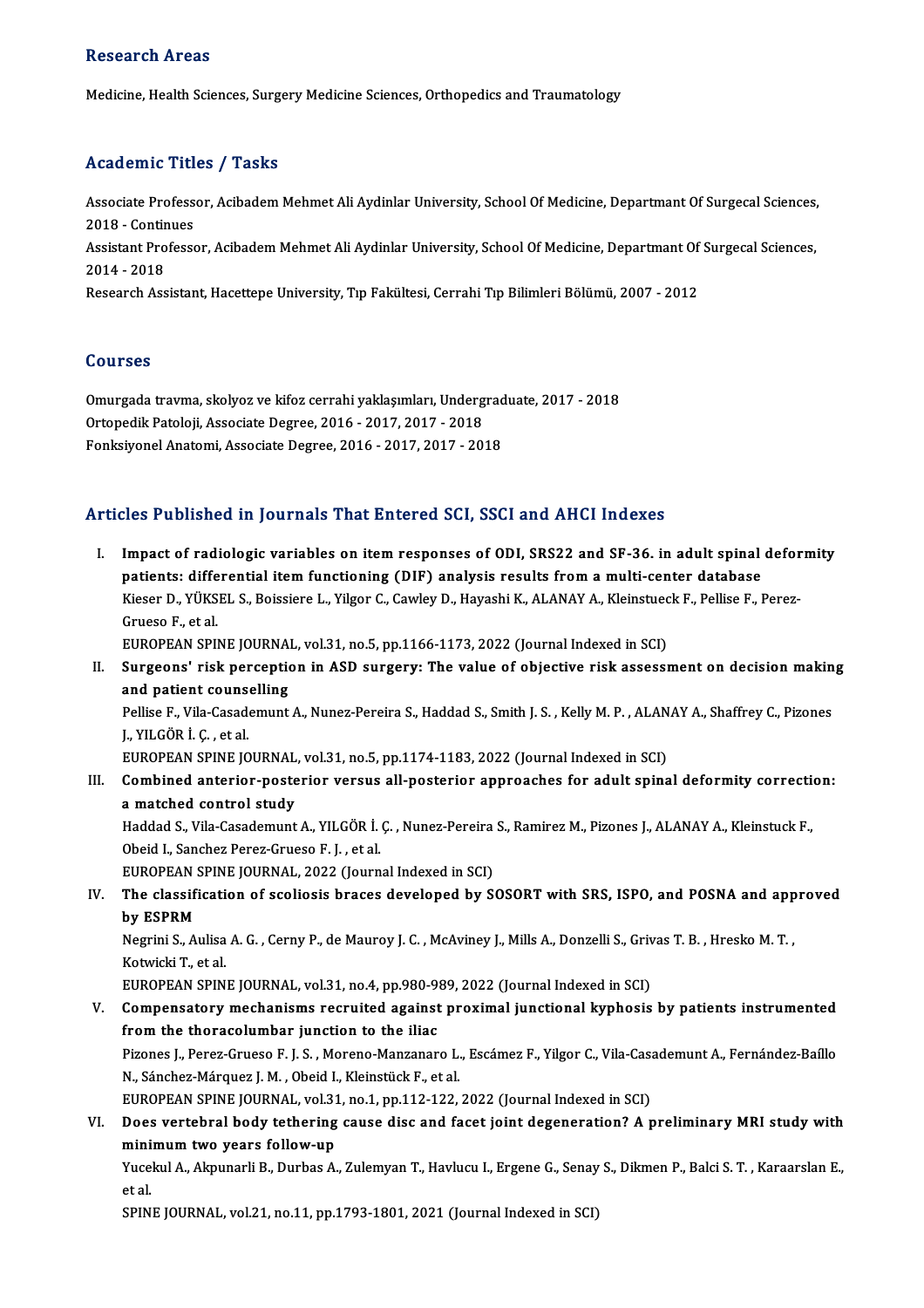#### Research Areas

Medicine, Health Sciences, Surgery Medicine Sciences, Orthopedics and Traumatology

### Academic Titles / Tasks

Academic Titles / Tasks<br>Associate Professor, Acibadem Mehmet Ali Aydinlar University, School Of Medicine, Departmant Of Surgecal Sciences,<br>2018 - Continues Associate Profess<br>2018 - Continues<br>Assistant Professe Associate Professor, Acibadem Mehmet Ali Aydinlar University, School Of Medicine, Departmant Of Surgecal Sciences,<br>2018 - Continues<br>Assistant Professor, Acibadem Mehmet Ali Aydinlar University, School Of Medicine, Departma

2018 - Continues<br>Assistant Professor, Acibadem Mehmet Ali Aydinlar University, School Of Medicine, Departmant Of Surgecal Sciences,<br>2014 - 2018

Research Assistant, Hacettepe University, Tıp Fakültesi, Cerrahi Tıp Bilimleri Bölümü, 2007 - 2012

#### Courses

Courses<br>Omurgada travma, skolyoz ve kifoz cerrahi yaklaşımları, Undergraduate, 2017 - 2018<br>Ortanadik Pateleji, Assesiste Desuse, 2016 - 2017, 2017, 2019 Oourses<br>Omurgada travma, skolyoz ve kifoz cerrahi yaklaşımları, Underg<br>Ortopedik Patoloji, Associate Degree, 2016 - 2017, 2017 - 2018<br>Fonksivenel Anatomi, Associate Degree, 2016 - 2017, 2017, 201 Omurgada travma, skolyoz ve kifoz cerrahi yaklaşımları, Undergrad<br>Ortopedik Patoloji, Associate Degree, 2016 - 2017, 2017 - 2018<br>Fonksiyonel Anatomi, Associate Degree, 2016 - 2017, 2017 - 2018

# Fonksiyonel Anatomi, Associate Degree, 2016 - 2017, 2017 - 2018<br>Articles Published in Journals That Entered SCI, SSCI and AHCI Indexes

rticles Published in Journals That Entered SCI, SSCI and AHCI Indexes<br>I. Impact of radiologic variables on item responses of ODI, SRS22 and SF-36. in adult spinal deformity<br>nationtal differential item functioning (DIF) ana patients: differential item functioning (DIF) analysis results from a multi-center database<br>patients: differential item functioning (DIF) analysis results from a multi-center database<br>Viecen D, VÜVSELS, Beissiane L, Vilgen Impact of radiologic variables on item responses of ODI, SRS22 and SF-36. in adult spinal defor<br>patients: differential item functioning (DIF) analysis results from a multi-center database<br>Kieser D., YÜKSEL S., Boissiere L. **patients: diffe<br>Kieser D., YÜKS<br>Grueso F., et al.<br>EUROPEAN SPU** Kieser D., YÜKSEL S., Boissiere L., Yilgor C., Cawley D., Hayashi K., ALANAY A., Kleinstuec<br>Grueso F., et al.<br>EUROPEAN SPINE JOURNAL, vol.31, no.5, pp.1166-1173, 2022 (Journal Indexed in SCI)<br>Sungeong' rick persention in A Grueso F., et al.<br>EUROPEAN SPINE JOURNAL, vol.31, no.5, pp.1166-1173, 2022 (Journal Indexed in SCI)<br>II. Surgeons' risk perception in ASD surgery: The value of objective risk assessment on decision making<br>and patient counce EUROPEAN SPINE JOURNAL, vol.31, no.5, pp.1166-1173, 2022 (Journal Indexed in SCI) Surgeons' risk perception in ASD surgery: The value of objective risk assessment on decision makin<br>and patient counselling<br>Pellise F., Vila-Casademunt A., Nunez-Pereira S., Haddad S., Smith J. S. , Kelly M. P. , ALANAY A., and patient counselling<br>Pellise F., Vila-Casademunt A., Nunez-Pereira S., Haddad S., Smith J. S. , Kelly M. P. , ALAN<br>J., YILGÖR İ. Ç. , et al.<br>EUROPEAN SPINE JOURNAL, vol.31, no.5, pp.1174-1183, 2022 (Journal Indexed in S Pellise F., Vila-Casademunt A., Nunez-Pereira S., Haddad S., Smith J. S., Kelly M. P., ALANAY A., Shaffrey C., Pizones J., YILGÖR İ. Ç. , et al.<br>EUROPEAN SPINE JOURNAL, vol.31, no.5, pp.1174-1183, 2022 (Journal Indexed in SCI)<br>III. Combined anterior-posterior versus all-posterior approaches for adult spinal deformity correction:<br>a matched EUROPEAN SPINE JOURNAL<br>Combined anterior-poste<br>a matched control study<br>Haddad S. Vila Casademunt Combined anterior-posterior versus all-posterior approaches for adult spinal deformity correction<br>a matched control study<br>Haddad S., Vila-Casademunt A., YILGÖR İ. Ç. , Nunez-Pereira S., Ramirez M., Pizones J., ALANAY A., K a <mark>matched control study</mark><br>Haddad S., Vila-Casademunt A., YILGÖR İ.<br>Obeid I., Sanchez Perez-Grueso F. J. , et al.<br>EUROPEAN SPINE JOUPNAL 2022 (Journ Haddad S., Vila-Casademunt A., YILGÖR İ. Ç. , Nunez-Pereira<br>Obeid I., Sanchez Perez-Grueso F. J. , et al.<br>EUROPEAN SPINE JOURNAL, 2022 (Journal Indexed in SCI)<br>The classification of scoliesis broses develened by S. Obeid I., Sanchez Perez-Grueso F. J. , et al.<br>EUROPEAN SPINE JOURNAL, 2022 (Journal Indexed in SCI)<br>IV. The classification of scoliosis braces developed by SOSORT with SRS, ISPO, and POSNA and approved<br>by ESPPM EUROPEAN S<br>The classifi<br>by ESPRM<br>Nogrini S A The classification of scoliosis braces developed by SOSORT with SRS, ISPO, and POSNA and app<br>by ESPRM<br>Negrini S., Aulisa A. G. , Cerny P., de Mauroy J. C. , McAviney J., Mills A., Donzelli S., Grivas T. B. , Hresko M. T. , **by ESPRM<br>Negrini S., Aulisa<br>Kotwicki T., et al.<br>EUROPEAN SPIN** Negrini S., Aulisa A. G. , Cerny P., de Mauroy J. C. , McAviney J., Mills A., Donzelli S., Griv<br>Kotwicki T., et al.<br>EUROPEAN SPINE JOURNAL, vol.31, no.4, pp.980-989, 2022 (Journal Indexed in SCI)<br>Componentory, meghanisme r Kotwicki T., et al.<br>EUROPEAN SPINE JOURNAL, vol.31, no.4, pp.980-989, 2022 (Journal Indexed in SCI)<br>V. Compensatory mechanisms recruited against proximal junctional kyphosis by patients instrumented<br>from the therecelumber EUROPEAN SPINE JOURNAL, vol.31, no.4, pp.980-9;<br>Compensatory mechanisms recruited against<br>from the thoracolumbar junction to the iliac<br>Pisanes L. Paper Cuusse E. L.S. Marane Manganar Compensatory mechanisms recruited against proximal junctional kyphosis by patients instrumented<br>from the thoracolumbar junction to the iliac<br>Pizones J., Perez-Grueso F. J. S. , Moreno-Manzanaro L., Escámez F., Yilgor C., V from the thoracolumbar junction to the iliac<br>Pizones J., Perez-Grueso F. J. S. , Moreno-Manzanaro L., Escámez F., Yilgor C., Vila-Cas.<br>N., Sánchez-Márquez J. M. , Obeid I., Kleinstück F., et al.<br>EUROPEAN SPINE JOURNAL, vol Pizones J., Perez-Grueso F. J. S., Moreno-Manzanaro L., Escámez F., Yilgor C., Vila-Casademunt A., Fernández-Baíllo VI. Does vertebral body tethering cause disc and facet joint degeneration? A preliminaryMRI study with EUROPEAN SPINE JOURNAL, vol.31<br>Does vertebral body tethering<br>minimum two years follow-up<br>Yugakul A. Akpunarli B. Durbas A. Yucekul A., Akpunarli B., Durbas A., Zulemyan T., Havlucu I., Ergene G., Senay S., Dikmen P., Balci S. T. , Karaarslan E.,<br>et al. mini<br>Yuce<br>et al.<br>spin

SPINE JOURNAL, vol.21, no.11, pp.1793-1801, 2021 (Journal Indexed in SCI)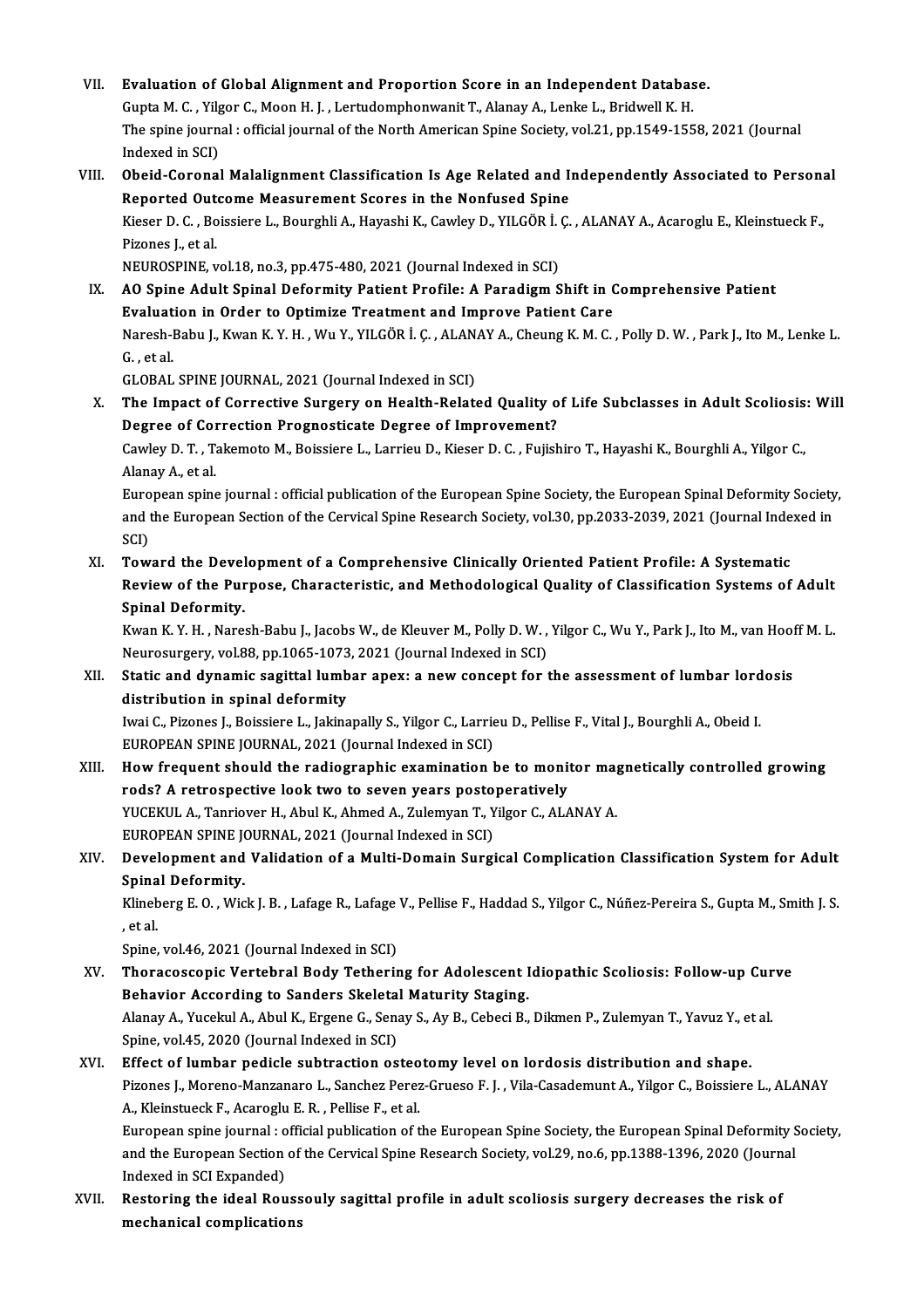- VII. Evaluation of Global Alignment and Proportion Score in an Independent Database.<br>Cunta M.C. Vilgar C. Maon H. L. Lertydemphenyenit T. Aleney A. Lenke L. Pridyell V. H. Evaluation of Global Alignment and Proportion Score in an Independent Databas<br>Gupta M. C. , Yilgor C., Moon H. J. , Lertudomphonwanit T., Alanay A., Lenke L., Bridwell K. H.<br>The enine journal : official journal of the Nort Evaluation of Global Alignment and Proportion Score in an Independent Database.<br>Gupta M. C. , Yilgor C., Moon H. J. , Lertudomphonwanit T., Alanay A., Lenke L., Bridwell K. H.<br>The spine journal : official journal of the No Gupta M. C. , Yilgor C., Moon H. J. , Lertudomphonwanit T., Alanay A., Lenke L., Bridwell K. H.<br>The spine journal : official journal of the North American Spine Society, vol.21, pp.1549-1558, 2021 (Journal<br>Indexed in SCI)
- VIII. Obeid-Coronal Malalignment Classification Is Age Related and Independently Associated to Personal Indexed in SCI)<br>Obeid-Coronal Malalignment Classification Is Age Related and I**n**<br>Reported Outcome Measurement Scores in the Nonfused Spine<br>Kieser D.C., Boissiere L., Bourghli A. Hayschi K. Caydey D. VII CÖP İ.C. Obeid-Coronal Malalignment Classification Is Age Related and Independently Associated to Person:<br>Reported Outcome Measurement Scores in the Nonfused Spine<br>Kieser D. C. , Boissiere L., Bourghli A., Hayashi K., Cawley D., YI Reported Out<br>Kieser D. C. , Bo<br>Pizones J., et al.<br>NEUPOSPINE Kieser D. C. , Boissiere L., Bourghli A., Hayashi K., Cawley D., YILGÖR İ.<br>Pizones J., et al.<br>NEUROSPINE, vol.18, no.3, pp.475-480, 2021 (Journal Indexed in SCI)<br>A.O. Spine, Adult Spinel Deformity Batient Brofile: A Baradi

Pizones J., et al.<br>IX. AO Spine Adult Spinal Deformity Patient Profile: A Paradigm Shift in Comprehensive Patient<br>IX. AO Spine Adult Spinal Deformity Patient Profile: A Paradigm Shift in Comprehensive Patient<br>Evaluation in NEUROSPINE, vol.18, no.3, pp.475-480, 2021 (Journal Indexed in SCI)<br>AO Spine Adult Spinal Deformity Patient Profile: A Paradigm Shift in C<br>Evaluation in Order to Optimize Treatment and Improve Patient Care<br>Narosh Bohu L Ku Naresh-Babu J., Kwan K.Y.H. , Wu Y., YILGÖR İ. Ç. , ALANAY A., Cheung K. M. C. , Polly D. W. , Park J., Ito M., Lenke L.<br>G. , et al. Evaluation in Order to Optimize Treatment and Improve Patient Care

GLOBAL SPINE JOURNAL, 2021 (Journal Indexed in SCI)

G. , et al.<br>GLOBAL SPINE JOURNAL, 2021 (Journal Indexed in SCI)<br>X. The Impact of Corrective Surgery on Health-Related Quality of Life Subclasses in Adult Scoliosis: Will<br>Desnee of Correction Prespecticate Desnee of Improve GLOBAL SPINE JOURNAL, 2021 (Journal Indexed in SCI)<br>The Impact of Corrective Surgery on Health-Related Quality of<br>Degree of Correction Prognosticate Degree of Improvement?<br>Caulau D. T. Takamata M. Baissiana J. Janniau D. K The Impact of Corrective Surgery on Health-Related Quality of Life Subclasses in Adult Scoliosis<br>Degree of Correction Prognosticate Degree of Improvement?<br>Cawley D. T. , Takemoto M., Boissiere L., Larrieu D., Kieser D. C.

Degree of Col<br>Cawley D. T. , T.<br>Alanay A., et al.<br>European ening

Alanay A., et al.<br>European spine journal : official publication of the European Spine Society, the European Spinal Deformity Society, Alanay A., et al.<br>European spine journal : official publication of the European Spine Society, the European Spinal Deformity Society<br>and the European Section of the Cervical Spine Research Society, vol.30, pp.2033-2039, 20 Euro<br>and t<br>SCI)<br>Tow and the European Section of the Cervical Spine Research Society, vol.30, pp.2033-2039, 2021 (Journal Inde<br>SCI)<br>XI. Toward the Development of a Comprehensive Clinically Oriented Patient Profile: A Systematic<br>Review of the B

SCI)<br>Toward the Development of a Comprehensive Clinically Oriented Patient Profile: A Systematic<br>Review of the Purpose, Characteristic, and Methodological Quality of Classification Systems of Adult<br>Spinal Defermity Toward the Devel<br>Review of the Pur<br>Spinal Deformity.<br>Kuran K. Y. H. Naro Review of the Purpose, Characteristic, and Methodological Quality of Classification Systems of Adult<br>Spinal Deformity.<br>Kwan K. Y. H. , Naresh-Babu J., Jacobs W., de Kleuver M., Polly D. W. , Yilgor C., Wu Y., Park J., Ito Spinal Deformity.<br>Kwan K. Y. H. , Naresh-Babu J., Jacobs W., de Kleuver M., Polly D. W. , Yilgor C., Wu Y., Park J., Ito M., van Hooff M. L.

Neurosurgery, vol.88, pp.1065-1073, 2021 (Journal Indexed in SCI)

## XII. Static and dynamic sagittal lumbar apex: a new concept for the assessment of lumbar lordosis<br>distribution in spinal deformity Static and dynamic sagittal lumbar apex: a new concept for the assessment of lumbar lord<br>distribution in spinal deformity<br>Iwai C., Pizones J., Boissiere L., Jakinapally S., Yilgor C., Larrieu D., Pellise F., Vital J., Bour

distribution in spinal deformity<br>Iwai C., Pizones J., Boissiere L., Jakinapally S., Yilgor C., Larrie<br>EUROPEAN SPINE JOURNAL, 2021 (Journal Indexed in SCI)<br>Hour frequent should the rediographic exemination l Iwai C., Pizones J., Boissiere L., Jakinapally S., Yilgor C., Larrieu D., Pellise F., Vital J., Bourghli A., Obeid I.<br>EUROPEAN SPINE JOURNAL, 2021 (Journal Indexed in SCI)<br>XIII. How frequent should the radiographic examina

- EUROPEAN SPINE JOURNAL, 2021 (Journal Indexed in SCI)<br>How frequent should the radiographic examination be to monit<br>rods? A retrospective look two to seven years postoperatively<br>VICEKUL A Tanriovan H Abul K Abmed A Zulamyan How frequent should the radiographic examination be to monitor may<br>rods? A retrospective look two to seven years postoperatively<br>YUCEKUL A., Tanriover H., Abul K., Ahmed A., Zulemyan T., Yilgor C., ALANAY A.<br>FUROPEAN SPINE rods? A retrospective look two to seven years posto<br>YUCEKUL A., Tanriover H., Abul K., Ahmed A., Zulemyan T., Y<br>EUROPEAN SPINE JOURNAL, 2021 (Journal Indexed in SCI)<br>Pevelopment and Velidation of a Multi Domain Surgi YUCEKUL A., Tanriover H., Abul K., Ahmed A., Zulemyan T., Yilgor C., ALANAY A.<br>EUROPEAN SPINE JOURNAL, 2021 (Journal Indexed in SCI)<br>XIV. Development and Validation of a Multi-Domain Surgical Complication Classificatio EUROPEAN SPINE JOURNAL, 2021 (Journal Indexed in SCI)
- Development and Validation of a Multi-Domain Surgical Complication Classification System for Adult<br>Spinal Deformity.<br>Klineberg E. O. , Wick J. B. , Lafage R., Lafage V., Pellise F., Haddad S., Yilgor C., Núñez-Pereira S.,

Spina<br>Klineb<br>, et al. Klineberg E. O. , Wick J. B. , Lafage R., Lafage<br>, et al.<br>Spine, vol.46, 2021 (Journal Indexed in SCI)<br>Theresessenis Vertebral Bedy Tetheri:

- , et al.<br>Spine, vol.46, 2021 (Journal Indexed in SCI)<br>XV. Thoracoscopic Vertebral Body Tethering for Adolescent Idiopathic Scoliosis: Follow-up Curve<br>Rehavior According to Sandors Skolotal Maturity Staging Spine, vol.46, 2021 (Journal Indexed in SCI)<br>Thoracoscopic Vertebral Body Tethering for Adolescent I<br>Behavior According to Sanders Skeletal Maturity Staging.<br>Alanay A. Yusekul A. Abul K. Frsone C. Sanay S. Ay B. Coboci B. Thoracoscopic Vertebral Body Tethering for Adolescent Idiopathic Scoliosis: Follow-up Cur<br>Behavior According to Sanders Skeletal Maturity Staging.<br>Alanay A., Yucekul A., Abul K., Ergene G., Senay S., Ay B., Cebeci B., Dikm Behavior According to Sanders Skeleta<br>Alanay A., Yucekul A., Abul K., Ergene G., Sena<br>Spine, vol.45, 2020 (Journal Indexed in SCI)<br>Effect of lumber podiale subtrastion os Alanay A., Yucekul A., Abul K., Ergene G., Senay S., Ay B., Cebeci B., Dikmen P., Zulemyan T., Yavuz Y., et<br>Spine, vol.45, 2020 (Journal Indexed in SCI)<br>XVI. Effect of lumbar pedicle subtraction osteotomy level on lordosis
- Spine, vol.45, 2020 (Journal Indexed in SCI)<br>Effect of lumbar pedicle subtraction osteotomy level on lordosis distribution and shape.<br>Pizones J., Moreno-Manzanaro L., Sanchez Perez-Grueso F. J. , Vila-Casademunt A., Yilgor Effect of lumbar pedicle subtraction osteo<br>Pizones J., Moreno-Manzanaro L., Sanchez Perez<br>A., Kleinstueck F., Acaroglu E. R. , Pellise F., et al.<br>Euronean anine journal : official publication of t A., Kleinstueck F., Acaroglu E. R. , Pellise F., et al.<br>European spine journal : official publication of the European Spine Society, the European Spinal Deformity Society,

A., Kleinstueck F., Acaroglu E. R. , Pellise F., et al.<br>European spine journal : official publication of the European Spine Society, the European Spinal Deformity S<br>and the European Section of the Cervical Spine Research S European spine journal : o<br>and the European Section<br>Indexed in SCI Expanded)<br>Restering the ideal Rev and the European Section of the Cervical Spine Research Society, vol.29, no.6, pp.1388-1396, 2020 (Journ Indexed in SCI Expanded)<br>XVII. Restoring the ideal Roussouly sagittal profile in adult scoliosis surgery decreases th

Indexed in SCI Expanded)<br>Restoring the ideal Rouss<br>mechanical complications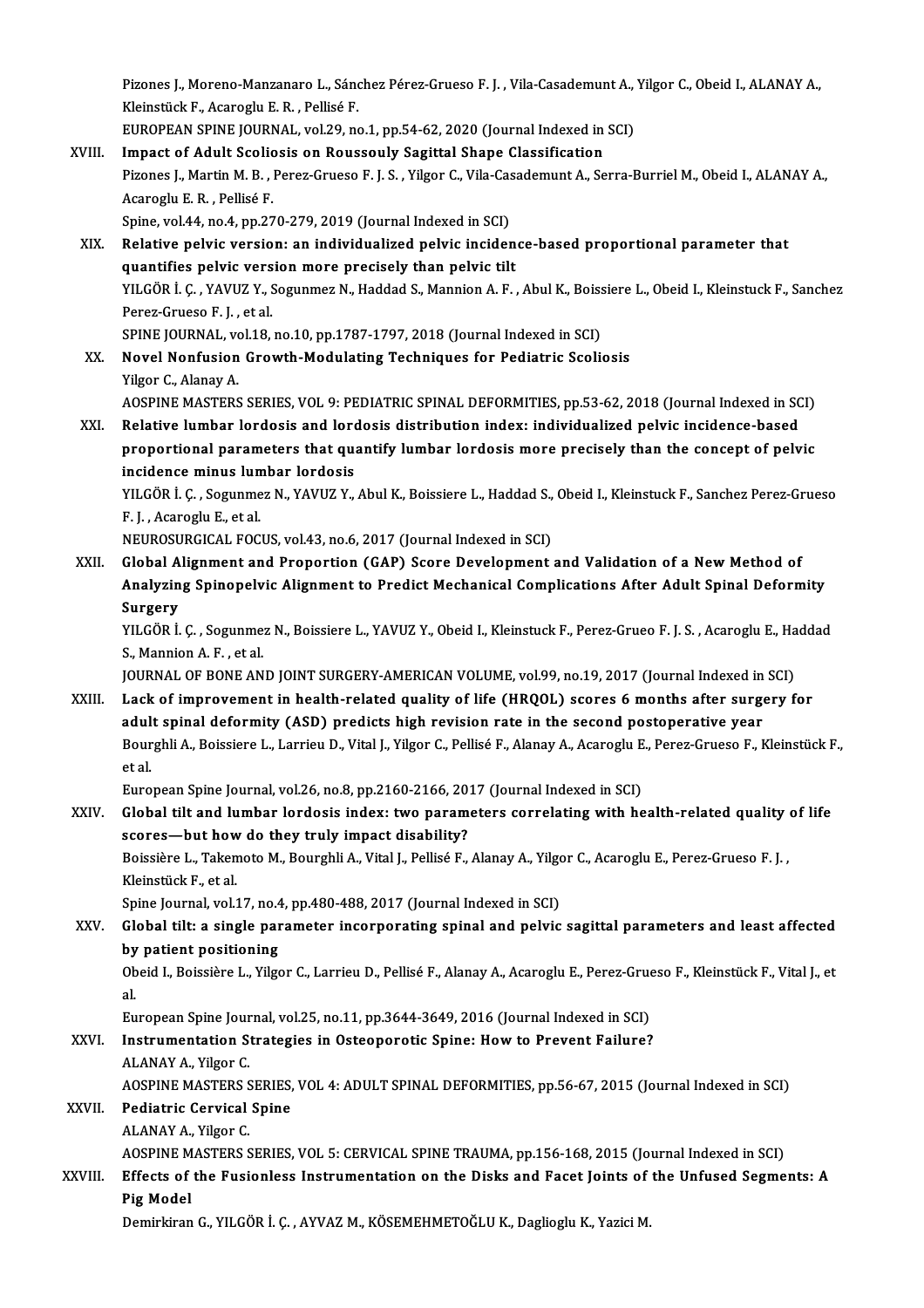Pizones J., Moreno-Manzanaro L., Sánchez Pérez-Grueso F. J. , Vila-Casademunt A., Yilgor C., Obeid I., ALANAY A.,<br>Klainatück E. Acanach: E. B. , Pollicé E. Pizones J., Moreno-Manzanaro L., Sáno<br>Kleinstück F., Acaroglu E. R. , Pellisé F.<br>FUROPEAN SPINE JOURNAL, vel 39, ne Pizones J., Moreno-Manzanaro L., Sánchez Pérez-Grueso F. J. , Vila-Casademunt A.,<br>Kleinstück F., Acaroglu E. R. , Pellisé F.<br>EUROPEAN SPINE JOURNAL, vol.29, no.1, pp.54-62, 2020 (Journal Indexed in SCI)<br>Impect of Adult Sco

### Kleinstück F., Acaroglu E. R., Pellisé F.<br>EUROPEAN SPINE JOURNAL, vol.29, no.1, pp.54-62, 2020 (Journal Indexed in<br>XVIII. Impact of Adult Scoliosis on Roussouly Sagittal Shape Classification EUROPEAN SPINE JOURNAL, vol.29, no.1, pp.54-62, 2020 (Journal Indexed in SCI)<br>I<mark>mpact of Adult Scoliosis on Roussouly Sagittal Shape Classification</mark><br>Pizones J., Martin M. B. , Perez-Grueso F. J. S. , Yilgor C., Vila-Casade Impact of Adult Scolic<br>Pizones J., Martin M. B. , J<br>Acaroglu E. R. , Pellisé F.<br>Snine vol 44 no 4 nn 37 Pizones J., Martin M. B. , Perez-Grueso F. J. S. , Yilgor C., Vila-Cas<br>Acaroglu E. R. , Pellisé F.<br>Spine, vol.44, no.4, pp.270-279, 2019 (Journal Indexed in SCI)<br>Relative polyjs version: an individualized polyjs insider Acaroglu E. R. , Pellisé F.<br>Spine, vol.44, no.4, pp.270-279, 2019 (Journal Indexed in SCI)<br>XIX. Relative pelvic version: an individualized pelvic incidence-based proportional parameter that<br>avantifies pelvis version more p

Spine, vol.44, no.4, pp.270-279, 2019 (Journal Indexed in SCI)<br>Relative pelvic version: an individualized pelvic inciden<br>quantifies pelvic version more precisely than pelvic tilt<br>VII GÖB İ.G., XAVIIZ V. Sogunmor N. Haddad Relative pelvic version: an individualized pelvic incidence-based proportional parameter that<br>quantifies pelvic version more precisely than pelvic tilt<br>YILGÖR İ. Ç. , YAVUZ Y., Sogunmez N., Haddad S., Mannion A. F. , Abul quantifies pelvic vers<br>YILGÖR İ. Ç. , YAVUZ Y., ?<br>Perez-Grueso F. J. , et al.<br>SPINE JOUPNAL , vol 19 YILGÖR İ. Ç. , YAVUZ Y., Sogunmez N., Haddad S., Mannion A. F. , Abul K., Boiss<br>Perez-Grueso F. J. , et al.<br>SPINE JOURNAL, vol.18, no.10, pp.1787-1797, 2018 (Journal Indexed in SCI)<br>Novel Nonfusion Crouth Modulating Techni Perez-Grueso F. J. , et al.<br>SPINE JOURNAL, vol.18, no.10, pp.1787-1797, 2018 (Journal Indexed in SCI)<br>XX. Novel Nonfusion Growth-Modulating Techniques for Pediatric Scoliosis

Novel Nonfusion Growth-Modulating Techniques for Pediatric Scoliosis<br>Yilgor C., Alanay A.<br>AOSPINE MASTERS SERIES, VOL 9: PEDIATRIC SPINAL DEFORMITIES, pp.53-62, 2018 (Journal Indexed in SCI)<br>Pelative lumber lerdesis and le

Yilgor C., Alanay A.

Yilgor C., Alanay A.<br>AOSPINE MASTERS SERIES, VOL 9: PEDIATRIC SPINAL DEFORMITIES, pp.53-62, 2018 (Journal Indexed in SC<br>XXI. Relative lumbar lordosis and lordosis distribution index: individualized pelvic incidence-based<br>n AOSPINE MASTERS SERIES, VOL 9: PEDIATRIC SPINAL DEFORMITIES, pp.53-62, 2018 (Journal Indexed in SCI)<br>Relative lumbar lordosis and lordosis distribution index: individualized pelvic incidence-based<br>proportional parameters t Relative lumbar lordosis and lord<br>proportional parameters that quantidence minus lumbar lordosis<br>vu COP i C. Sogunmar N. VAVUZ V proportional parameters that quantify lumbar lordosis more precisely than the concept of pelvic<br>incidence minus lumbar lordosis<br>YILGÖR İ. Ç. , Sogunmez N., YAVUZ Y., Abul K., Boissiere L., Haddad S., Obeid I., Kleinstuck F

incidence minus lum<br>YILGÖR İ. Ç. , Sogunme<br>F. J. , Acaroglu E., et al.<br>NEUDOSURCICAL EOC YILGÖR İ. Ç. , Sogunmez N., YAVUZ Y., Abul K., Boissiere L., Haddad S.,<br>F. J. , Acaroglu E., et al.<br>NEUROSURGICAL FOCUS, vol.43, no.6, 2017 (Journal Indexed in SCI)<br>Clabal Alignment and Bronestian (CAB) Seere Development

F. J. , Acaroglu E., et al.<br>NEUROSURGICAL FOCUS, vol.43, no.6, 2017 (Journal Indexed in SCI)<br>XXII. Global Alignment and Proportion (GAP) Score Development and Validation of a New Method of NEUROSURGICAL FOCUS, vol.43, no.6, 2017 (Journal Indexed in SCI)<br>Global Alignment and Proportion (GAP) Score Development and Validation of a New Method of<br>Analyzing Spinopelvic Alignment to Predict Mechanical Complications Global A<br>Analyzin<br>Surgery<br><sup>VII GÖD İ</sub></sup> Analyzing Spinopelvic Alignment to Predict Mechanical Complications After Adult Spinal Deformity<br>Surgery<br>YILGÖR İ. Ç. , Sogunmez N., Boissiere L., YAVUZ Y., Obeid I., Kleinstuck F., Perez-Grueo F. J. S. , Acaroglu E., Hadd

S<mark>urgery</mark><br>YILGÖR İ. Ç. , Sogunme<br>S., Mannion A. F. , et al.<br>JOUPNAL OE PONE AN YILGÖR İ. Ç. , Sogunmez N., Boissiere L., YAVUZ Y., Obeid I., Kleinstuck F., Perez-Grueo F. J. S. , Acaroglu E., Ha<br>S., Mannion A. F. , et al.<br>JOURNAL OF BONE AND JOINT SURGERY-AMERICAN VOLUME, vol.99, no.19, 2017 (Journal

S., Mannion A. F. , et al.<br>JOURNAL OF BONE AND JOINT SURGERY-AMERICAN VOLUME, vol.99, no.19, 2017 (Journal Indexed in SCI)<br>XXIII. Lack of improvement in health-related quality of life (HRQOL) scores 6 months after surgery JOURNAL OF BONE AND JOINT SURGERY-AMERICAN VOLUME, vol.99, no.19, 2017 (Journal Indexed in<br>Lack of improvement in health-related quality of life (HRQOL) scores 6 months after surge<br>adult spinal deformity (ASD) predicts hig Lack of improvement in health-related quality of life (HRQOL) scores 6 months after surgery for<br>adult spinal deformity (ASD) predicts high revision rate in the second postoperative year<br>Bourghli A., Boissiere L., Larrieu D adult spinal deformity (ASD) predicts high revision rate in the second postoperative year<br>Bourghli A., Boissiere L., Larrieu D., Vital J., Yilgor C., Pellisé F., Alanay A., Acaroglu E., Perez-Grueso F., Kleinstück F.,<br>et a Bourghli A., Boissiere L., Larrieu D., Vital J., Yilgor C., Pellisé F., Alanay A., Acaroglu E<br>et al.<br>European Spine Journal, vol.26, no.8, pp.2160-2166, 2017 (Journal Indexed in SCI)<br>Clobel tilt and lumber landesis index:

et al.<br>European Spine Journal, vol.26, no.8, pp.2160-2166, 2017 (Journal Indexed in SCI)<br>XXIV. Global tilt and lumbar lordosis index: two parameters correlating with health-related quality of life<br> European Spine Journal, vol.26, no.8, pp.2160-2166, 20<br>Global tilt and lumbar lordosis index: two param<br>scores—but how do they truly impact disability?<br>Boissière J., Tekemete M. Bourskli A. Vital L. Bollieé E. Global tilt and lumbar lordosis index: two parameters correlating with health-related quality<br>scores—but how do they truly impact disability?<br>Boissière L., Takemoto M., Bourghli A., Vital J., Pellisé F., Alanay A., Yilgor

scores—but how do they truly impact disability?<br>Boissière L., Takemoto M., Bourghli A., Vital J., Pellisé F., Alanay A., Yilgo<br>Kleinstück F., et al.<br>Spine Journal, vol.17, no.4, pp.480-488, 2017 (Journal Indexed in SCI) Boissière L., Takemoto M., Bourghli A., Vital J., Pellisé F., Alanay A., Yilgor C., Acaroglu E., Perez-Grueso F.J.,

# Kleinstück F., et al.<br>Spine Journal, vol.17, no.4, pp.480-488, 2017 (Journal Indexed in SCI)<br>XXV. Global tilt: a single parameter incorporating spinal and pelvic sagittal parameters and least affected<br>hy nationt positi Spine Journal, vol.17, no.4<br>Global tilt: a single par<br>by patient positioning<br>Obeid L. Beissière L. Viles Global tilt: a single parameter incorporating spinal and pelvic sagittal parameters and least affected<br>by patient positioning<br>Obeid I., Boissière L., Yilgor C., Larrieu D., Pellisé F., Alanay A., Acaroglu E., Perez-Grueso

by<br>Ob<br>al. Obeid I., Boissière L., Yilgor C., Larrieu D., Pellisé F., Alanay A., Acaroglu E., Perez-Grueso F., Kleinstück F., Vital J., et<br>al.<br>European Spine Journal, vol.25, no.11, pp.3644-3649, 2016 (Journal Indexed in SCI)

### al.<br>European Spine Journal, vol.25, no.11, pp.3644-3649, 2016 (Journal Indexed in SCI)<br>XXVI. Instrumentation Strategies in Osteoporotic Spine: How to Prevent Failure?<br>ALANAX A. Vilger C European Spine Jour<br>Instrumentation S<br>ALANAY A., Yilgor C.<br>AOSPINE MASTEDS S Instrumentation Strategies in Osteoporotic Spine: How to Prevent Failure?<br>ALANAY A., Yilgor C.<br>AOSPINE MASTERS SERIES, VOL 4: ADULT SPINAL DEFORMITIES, pp.56-67, 2015 (Journal Indexed in SCI)<br>Pediatris Convisel Spine ALANAY A., Yilgor C.<br>AOSPINE MASTERS SERIES<br>XXVII. Pediatric Cervical Spine<br>ALANAY A., Yilgor C.

# AOSPINE MASTERS<br>**Pediatric Cervical<br>ALANAY A., Yilgor C.**<br>AOSPINE MASTERS S

Pediatric Cervical Spine<br>ALANAY A., Yilgor C.<br>AOSPINE MASTERS SERIES, VOL 5: CERVICAL SPINE TRAUMA, pp.156-168, 2015 (Journal Indexed in SCI)<br>Effects of the Eusianless Instrumentation on the Disks and Easet Joints of the U

### ALANAY A., Yilgor C.<br>AOSPINE MASTERS SERIES, VOL 5: CERVICAL SPINE TRAUMA, pp.156-168, 2015 (Journal Indexed in SCI)<br>XXVIII. Effects of the Fusionless Instrumentation on the Disks and Facet Joints of the Unfused Segments: AOSPINE M<br><mark>Effects of</mark><br>Pig Model<br><sup>Dominkiran</sub></sup> Effects of the Fusionless Instrumentation on the Disks and Facet Joints of the Unfused Segments: A<br>Pig Model<br>Demirkiran G., YILGÖR İ. Ç. , AYVAZ M., KÖSEMEHMETOĞLU K., Daglioglu K., Yazici M.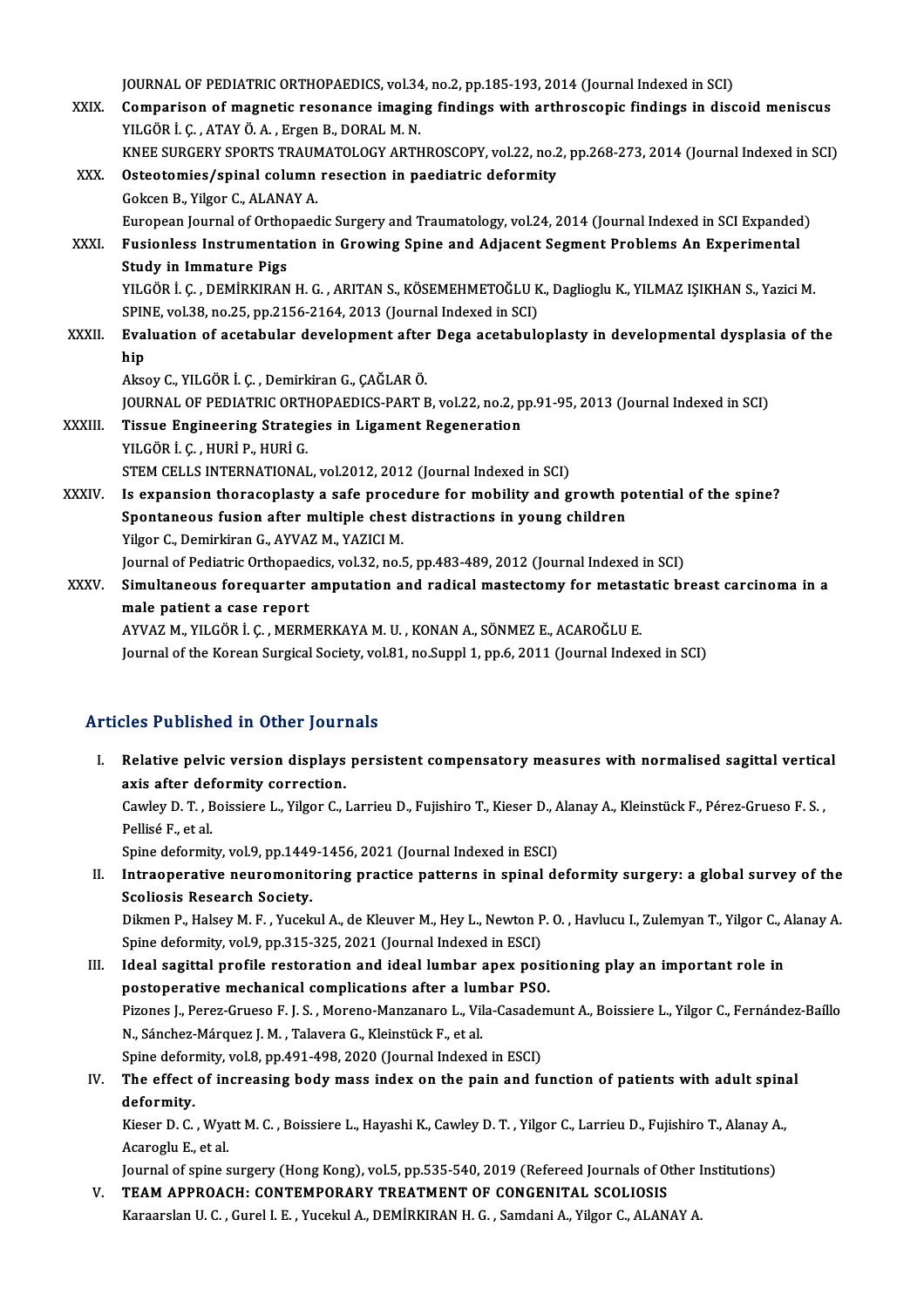JOURNAL OF PEDIATRIC ORTHOPAEDICS, vol.34, no.2, pp.185-193, 2014 (Journal Indexed in SCI)<br>Comparison of magnetic resonance imaging findings with arthroseonic findings in disc

XXIX. Comparison of magnetic resonance imaging findings with arthroscopic findings in discoid meniscus<br>YILGÖR İ. C., ATAY Ö. A., Ergen B., DORAL M. N. JOURNAL OF PEDIATRIC ORTHOPAEDICS, vol.34<br>Comparison of magnetic resonance imagin<br>YILGÖR İ. Ç. , ATAY Ö. A. , Ergen B., DORAL M. N.<br>KNEE SURCERY SPORTS TRAUMATOLOGY ARTE Comparison of magnetic resonance imaging findings with arthroscopic findings in discoid meniscus<br>YILGÖR İ. Ç. , ATAY Ö. A. , Ergen B., DORAL M. N.<br>KNEE SURGERY SPORTS TRAUMATOLOGY ARTHROSCOPY, vol.22, no.2, pp.268-273, 201

XXX. Osteotomies/spinal column resection in paediatric deformity KNEE SURGERY SPORTS TRAUN<br>Osteotomies/spinal column<br>Gokcen B., Yilgor C., ALANAY A. Osteotomies/spinal column resection in paediatric deformity<br>Gokcen B., Yilgor C., ALANAY A.<br>European Journal of Orthopaedic Surgery and Traumatology, vol.24, 2014 (Journal Indexed in SCI Expanded)<br>Eusianless Instrumentatio XXXI. Fusionless Instrumentation in Growing Spine and Adjacent Segment Problems An Experimental European Journal of Ortho<br>Fusionless Instrumenta<br>Study in Immature Pigs<br>YU CÖP İ C. DEMİPKIRAN

Fusionless Instrumentation in Growing Spine and Adjacent Segment Problems An Experimental<br>Study in Immature Pigs<br>YILGÖR İ. Ç. , DEMİRKIRAN H. G. , ARITAN S., KÖSEMEHMETOĞLU K., Daglioglu K., YILMAZ IŞIKHAN S., Yazici M.<br>SP Study in Immature Pigs<br>YILGÖR İ. Ç. , DEMİRKIRAN H. G. , ARITAN S., KÖSEMEHMETOĞLU K<br>SPINE, vol.38, no.25, pp.2156-2164, 2013 (Journal Indexed in SCI)<br>Evaluation of asstabular davalarment aftar Dega asstabula YILGÖR İ. Ç. , DEMİRKIRAN H. G. , ARITAN S., KÖSEMEHMETOĞLU K., Daglioglu K., YILMAZ IŞIKHAN S., Yazici M.<br>SPINE, vol.38, no.25, pp.2156-2164, 2013 (Journal Indexed in SCI)<br>XXXII. Evaluation of acetabular development a

SPIN<br><mark>Eval</mark><br>hip XXXII. Evaluation of acetabular development after Dega acetabuloplasty in developmental dysplasia of the<br>hip<br>Aksoy C., YILGÖR İ. Ç. , Demirkiran G., ÇAĞLAR Ö.

hip<br>Aksoy C., YILGÖR İ. Ç. , Demirkiran G., ÇAĞLAR Ö.<br>JOURNAL OF PEDIATRIC ORTHOPAEDICS-PART B, vol.22, no.2, pp.91-95, 2013 (Journal Indexed in SCI)<br>Tissue Engineering Strategies in Lisement Beseneration Aksoy C., YILGÖR İ. Ç. , Demirkiran G., ÇAĞLAR Ö.<br>JOURNAL OF PEDIATRIC ORTHOPAEDICS-PART B, vol.22, no.2, p<br>XXXIII. Tissue Engineering Strategies in Ligament Regeneration<br>VILGÖR İ. G. HURİR, HURİC

JOURNAL OF PEDIATRIC ORTI<br>Tissue Engineering Strateg<br>YILGÖR İ. Ç. , HURİ P., HURİ G.<br>STEM CELLS INTERNATIONAL Tissue Engineering Strategies in Ligament Regeneration<br>YILGÖR İ. Ç. , HURİ P., HURİ G.<br>STEM CELLS INTERNATIONAL, vol.2012, 2012 (Journal Indexed in SCI) YILGÖR İ. Ç. , HURİ P., HURİ G.<br>STEM CELLS INTERNATIONAL, vol.2012, 2012 (Journal Indexed in SCI)<br>XXXIV. Is expansion thoracoplasty a safe procedure for mobility and growth potential of the spine?<br>Sportaneous fusion after

STEM CELLS INTERNATIONAL, vol.2012, 2012 (Journal Indexed in SCI)<br>Is expansion thoracoplasty a safe procedure for mobility and growth p<br>Spontaneous fusion after multiple chest distractions in young children<br>Vilser C. Demir Is expansion thoracoplasty a safe proce<br>Spontaneous fusion after multiple chest<br>Yilgor C., Demirkiran G., AYVAZ M., YAZICI M.<br>Journal of Bediatric Orthonoedics vol 32, no b Spontaneous fusion after multiple chest distractions in young children<br>Yilgor C., Demirkiran G., AYVAZ M., YAZICI M.<br>Journal of Pediatric Orthopaedics, vol.32, no.5, pp.483-489, 2012 (Journal Indexed in SCI) Yilgor C., Demirkiran G., AYVAZ M., YAZICI M.<br>Journal of Pediatric Orthopaedics, vol.32, no.5, pp.483-489, 2012 (Journal Indexed in SCI)<br>XXXV. Simultaneous forequarter amputation and radical mastectomy for metastatic breas

Journal of Pediatric Orthopaec<br>Simultaneous forequarter<br>male patient a case report<br>AYVAZ M\_YU CÔP L C\_MEPM Simultaneous forequarter amputation and radical mastectomy for metast<br>male patient a case report<br>AYVAZ M., YILGÖR İ. Ç. , MERMERKAYA M. U. , KONAN A., SÖNMEZ E., ACAROĞLU E.<br>Journal of the Korean Surgical Society vol 91 .n male patient a case report<br>AYVAZ M., YILGÖR İ. Ç. , MERMERKAYA M. U. , KONAN A., SÖNMEZ E., ACAROĞLU E.<br>Journal of the Korean Surgical Society, vol.81, no.Suppl 1, pp.6, 2011 (Journal Indexed in SCI)

### Articles Published in Other Journals

I. Relative pelvic version displays persistent compensatory measures with normalised sagittal vertical<br>I. Relative pelvic version displays persistent compensatory measures with normalised sagittal vertical abis a distinct in other journals.<br>Relative pelvic version displays<br>axis after deformity correction. Relative pelvic version displays persistent compensatory measures with normalised sagittal vertica<br>axis after deformity correction.<br>Cawley D. T. , Boissiere L., Yilgor C., Larrieu D., Fujishiro T., Kieser D., Alanay A., Kl

axis after def<br>Cawley D. T. , E<br>Pellisé F., et al.<br>Spine defermit Cawley D. T. , Boissiere L., Yilgor C., Larrieu D., Fujishiro T., Kieser D., A<br>Pellisé F., et al.<br>Spine deformity, vol.9, pp.1449-1456, 2021 (Journal Indexed in ESCI)<br>Intreenerative neuromenitaring prestice patterns in eni

Pellisé F., et al.<br>Spine deformity, vol.9, pp.1449-1456, 2021 (Journal Indexed in ESCI)<br>II. Intraoperative neuromonitoring practice patterns in spinal deformity surgery: a global survey of the<br>Scoliesis Besearsh Sosiet Spine deformity, vol.9, pp.1449<br>Intraoperative neuromonit<br>Scoliosis Research Society.<br>Dilmon P. Halsoy M.E. Yusek Intraoperative neuromonitoring practice patterns in spinal deformity surgery: a global survey of the<br>Scoliosis Research Society.<br>Dikmen P., Halsey M. F. , Yucekul A., de Kleuver M., Hey L., Newton P. O. , Havlucu I., Zulem

Scoliosis Research Society.<br>Dikmen P., Halsey M. F. , Yucekul A., de Kleuver M., Hey L., Newton P<br>Spine deformity, vol.9, pp.315-325, 2021 (Journal Indexed in ESCI)<br>Ideal sagittal prefile restanction and ideal lumber aper Dikmen P., Halsey M. F. , Yucekul A., de Kleuver M., Hey L., Newton P. O. , Havlucu I., Zulemyan T., Yilgor C., Alanay A.<br>Spine deformity, vol.9, pp.315-325, 2021 (Journal Indexed in ESCI)<br>III. Ideal sagittal profile resto

- Spine deformity, vol.9, pp.315-325, 2021 (Journal Indexed in ESCI)<br>Ideal sagittal profile restoration and ideal lumbar apex posi<br>postoperative mechanical complications after a lumbar PSO.<br>Pirones L. Perez Crusse E.L.S., Mo Ideal sagittal profile restoration and ideal lumbar apex positioning play an important role in<br>postoperative mechanical complications after a lumbar PSO.<br>Pizones J., Perez-Grueso F. J. S. , Moreno-Manzanaro L., Vila-Casade postoperative mechanical complications after a lumbar PSO.<br>Pizones J., Perez-Grueso F. J. S. , Moreno-Manzanaro L., Vila-Casadem<br>N., Sánchez-Márquez J. M. , Talavera G., Kleinstück F., et al.<br>Spine deformity, vol.8, pp.491 Pizones J., Perez-Grueso F. J. S. , Moreno-Manzanaro L., Vila-Casader<br>N., Sánchez-Márquez J. M. , Talavera G., Kleinstück F., et al.<br>Spine deformity, vol.8, pp.491-498, 2020 (Journal Indexed in ESCI)<br>The effect of increasi N., Sánchez-Márquez J. M. , Talavera G., Kleinstück F., et al.<br>Spine deformity, vol.8, pp.491-498, 2020 (Journal Indexed in ESCI)<br>IV. The effect of increasing body mass index on the pain and function of patients with adult
- Spine deform<br>**The effect**<br>**deformity.**<br>*Vigger* D. C. The effect of increasing body mass index on the pain and function of patients with adult spine<br>deformity.<br>Kieser D. C. , Wyatt M. C. , Boissiere L., Hayashi K., Cawley D. T. , Yilgor C., Larrieu D., Fujishiro T., Alanay A.

deformity.<br>Kieser D. C. , Wya<br>Acaroglu E., et al. Kieser D. C., Wyatt M. C., Boissiere L., Hayashi K., Cawley D. T., Yilgor C., Larrieu D., Fujishiro T., Alanay A.,

Journal of spine surgery (Hong Kong), vol.5, pp.535-540, 2019 (Refereed Journals of Other Institutions)

V. TEAM APPROACH: CONTEMPORARY TREATMENT OF CONGENITAL SCOLIOSIS<br>Karaarslan U. C., Gurel I. E., Yucekul A., DEMIRKIRAN H. G., Samdani A., Yilgor C., ALANAY A.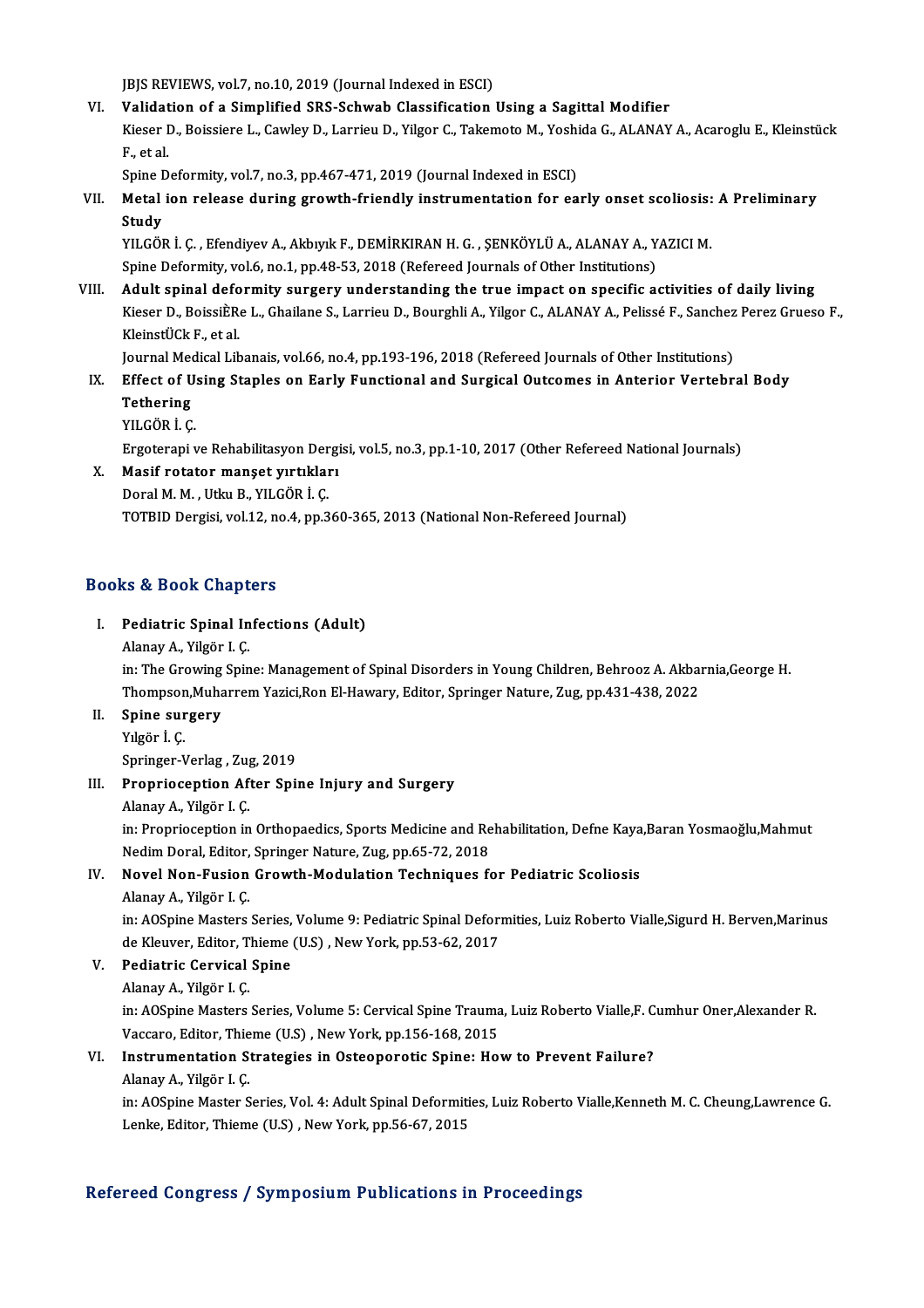JBJS REVIEWS, vol.7, no.10, 2019 (Journal Indexed in ESCI)

VI. Validation of a Simplified SRS-Schwab Classification Using a Sagittal Modifier JBJS REVIEWS, vol.7, no.10, 2019 (Journal Indexed in ESCI)<br>Validation of a Simplified SRS-Schwab Classification Using a Sagittal Modifier<br>Kieser D., Boissiere L., Cawley D., Larrieu D., Yilgor C., Takemoto M., Yoshida G., **Validat<br>Kieser I<br>F., et al.<br>Spine D** Kieser D., Boissiere L., Cawley D., Larrieu D., Yilgor C., Takemoto M., Yoshi<br>F., et al.<br>Spine Deformity, vol.7, no.3, pp.467-471, 2019 (Journal Indexed in ESCI)<br>Metal ion release during growth friendly instrumentation for

Spine Deformity, vol.7, no.3, pp.467-471, 2019 (Journal Indexed in ESCI)

F., et al.<br>Spine Deformity, vol.7, no.3, pp.467-471, 2019 (Journal Indexed in ESCI)<br>VII. Metal ion release during growth-friendly instrumentation for early onset scoliosis: A Preliminary<br>Study

YILGÖR İ. Ç., Efendiyev A., Akbıyık F., DEMİRKIRAN H. G., ŞENKÖYLÜ A., ALANAY A., YAZICI M. Spine Deformity, vol.6, no.1, pp.48-53, 2018 (Refereed Journals of Other Institutions)

VILGÖR İ. Ç. , Efendiyev A., Akbıyık F., DEMİRKIRAN H. G. , ŞENKÖYLÜ A., ALANAY A., YAZICI M.<br>Spine Deformity, vol.6, no.1, pp.48-53, 2018 (Refereed Journals of Other Institutions)<br>VIII. Adult spinal deformity surgery unde Spine Deformity, vol.6, no.1, pp.48-53, 2018 (Refereed Journals of Other Institutions)<br>Adult spinal deformity surgery understanding the true impact on specific activities of daily living<br>Kieser D., BoissiÈRe L., Ghailane S **Adult spinal defo<br>Kieser D., BoissiÈRe<br>KleinstÜCk F., et al.<br>Journal Modisal Lib** Kieser D., BoissiÈRe L., Ghailane S., Larrieu D., Bourghli A., Yilgor C., ALANAY A., Pelissé F., Sanchez<br>KleinstÜCk F., et al.<br>Journal Medical Libanais, vol.66, no.4, pp.193-196, 2018 (Refereed Journals of Other Institutio

### KleinstÜCk F., et al.<br>Journal Medical Libanais, vol.66, no.4, pp.193-196, 2018 (Refereed Journals of Other Institutions)<br>IX. Effect of Using Staples on Early Functional and Surgical Outcomes in Anterior Vertebral Body<br>Teth Journal Med<br><mark>Effect of U</mark><br>Tethering<br>YU CÖP İ C Effect of U:<br>Tethering<br>YILGÖR İ. Ç.<br>Ersetereni ı Tethering<br>YILGÖR İ. Ç.<br>Ergoterapi ve Rehabilitasyon Dergisi, vol.5, no.3, pp.1-10, 2017 (Other Refereed National Journals)

X. Masif rotator manşet yırtıkları Doral M.M., Utku B., YILGÖR İ.Ç. TOTBID Dergisi, vol.12, no.4, pp.360-365, 2013 (National Non-Refereed Journal)

### Books&Book Chapters

# ooks & Book Chapters<br>I. Pediatric Spinal Infections (Adult)<br>Alanay A. Vilgar L.C Alanay A., Yilgör I.<br>Container Spinal In<br>Alanay A., Yilgör I. Ç.

Pediatric Spinal Infections (Adult)<br>Alanay A., Yilgör I. Ç.<br>in: The Growing Spine: Management of Spinal Disorders in Young Children, Behrooz A. Akbarnia,George H.<br>Thempson Muhamam Varisi Bon El Hayany, Editor, Springer Nat Alanay A., Yilgör I. Ç.<br>in: The Growing Spine: Management of Spinal Disorders in Young Children, Behrooz A. Akbaı<br>Thompson,Muharrem Yazici,Ron El-Hawary, Editor, Springer Nature, Zug, pp.431-438, 2022<br>Snine surgery Thompson, Muharrem Yazici, Ron El-Hawary, Editor, Springer Nature, Zug, pp.431-438, 2022<br>II. Spine surgery

Yılgör İ.Ç. Spine surgery<br>Yılgör İ. Ç.<br>Springer-Verlag , Zug, 2019<br>Prenniagentian Aftar Spii

III. Proprioception After Spine Injury and Surgery<br>Alanay A., Yilgör I. C. Springer-Verlag , Zug<br><mark>Proprioception Af</mark><br>Alanay A., Yilgör I. Ç.<br>in: Proprioception in

in: Proprioception in Orthopaedics, Sports Medicine and Rehabilitation, Defne Kaya,Baran Yosmaoğlu,Mahmut Alanay A., Yilgör I. Ç.<br>in: Proprioception in Orthopaedics, Sports Medicine and Re<br>Nedim Doral, Editor, Springer Nature, Zug, pp.65-72, 2018<br>Nevel Nen, Eugion Gneuth, Medulation Techniques fo Nedim Doral, Editor,<br>Novel Non-Fusion<br>Alanay A., Yilgör I. Ç.<br>in: AOSpine Masters

## IV. Novel Non-Fusion Growth-Modulation Techniques for Pediatric Scoliosis<br>Alanay A., Yilgör I. C.

in: AOSpine Masters Series, Volume 9: Pediatric Spinal Deformities, Luiz Roberto Vialle, Sigurd H. Berven, Marinus Alanay A., Yilgör I. Ç.<br>in: AOSpine Masters Series, Volume 9: Pediatric Spinal Deform<br>de Kleuver, Editor, Thieme (U.S) , New York, pp.53-62, 2017<br>Pediatris Corvicel Spine de Kleuver, Editor, T.<br>Pediatric Cervical<br>Alanay A., Yilgör I. Ç.<br>in: AQSpine Mesters

- V. Pediatric Cervical Spine
	-

Pediatric Cervical Spine<br>Alanay A., Yilgör I. Ç.<br>in: AOSpine Masters Series, Volume 5: Cervical Spine Trauma, Luiz Roberto Vialle,F. Cumhur Oner,Alexander R.<br>Vessare, Editer, Thiame (U.S.), Nau Verk, pp.156,169,2015 Alanay A., Yilgör I. Ç.<br>in: AOSpine Masters Series, Volume 5: Cervical Spine Trauma<br>Vaccaro, Editor, Thieme (U.S) , New York, pp.156-168, 2015<br>Instrumentation Strategies in Osteonoretis Spine: Ho in: AOSpine Masters Series, Volume 5: Cervical Spine Trauma, Luiz Roberto Vialle,F. C<br>Vaccaro, Editor, Thieme (U.S) , New York, pp.156-168, 2015<br>VI. Instrumentation Strategies in Osteoporotic Spine: How to Prevent Failure?

# Vaccaro, Editor, Thie<br>Instrumentation S<br>Alanay A., Yilgör I. Ç.<br>in: AOSnine Mester S

Instrumentation Strategies in Osteoporotic Spine: How to Prevent Failure?<br>Alanay A., Yilgör I. Ç.<br>in: AOSpine Master Series, Vol. 4: Adult Spinal Deformities, Luiz Roberto Vialle,Kenneth M. C. Cheung,Lawrence G.<br>Lanke Edit Alanay A., Yilgör I. Ç.<br>in: AOSpine Master Series, Vol. 4: Adult Spinal Deformiti<br>Lenke, Editor, Thieme (U.S) , New York, pp.56-67, 2015

# Lenke, Editor, Thieme (U.S) , New York, pp.56-67, 2015<br>Refereed Congress / Symposium Publications in Proceedings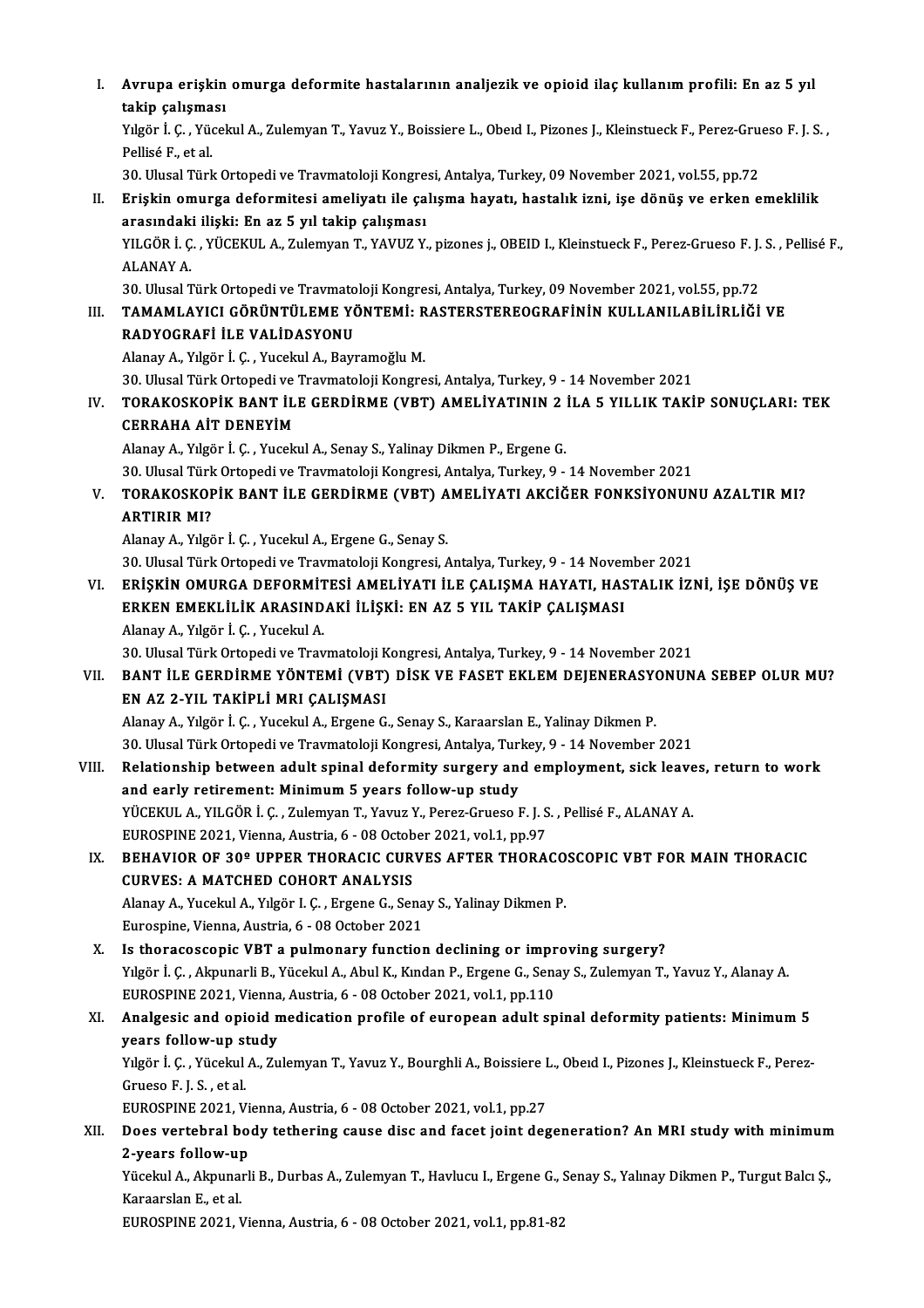I. Avrupa erişkin omurga deformite hastalarının analjezik ve opioid ilaç kullanım profili: En az 5 yıl<br>takin salısması **Avrupa erişkin<br>takip çalışması**<br>Yılgön İ.G. Yüsel Avrupa erişkin omurga deformite hastalarının analjezik ve opioid ilaç kullanım profili: En az 5 yıl<br>takip çalışması<br>Yılgör İ. Ç. , Yücekul A., Zulemyan T., Yavuz Y., Boissiere L., Obeıd I., Pizones J., Kleinstueck F., Pere takip çalışması<br>Yılgör İ. Ç. , Yücekul A., Zulemyan T., Yavuz Y., Boissiere L., Obeıd I., Pizones J., Kleinstueck F., Perez-Grueso F. J. S. ,<br>Pellisé F.. et al. Yılgör İ. Ç. , Yücekul A., Zulemyan T., Yavuz Y., Boissiere L., Obeıd I., Pizones J., Kleinstueck F., Perez-Gru<br>Pellisé F., et al.<br>30. Ulusal Türk Ortopedi ve Travmatoloji Kongresi, Antalya, Turkey, 09 November 2021, vol.5 II. Erişkin omurga deformitesi ameliyatı ile çalışma hayatı, hastalık izni, işe dönüş ve erken emeklilik arasındaki ilişki: En az 5 yıl takip çalışması 30. Ulusal Türk Ortopedi ve Travmatoloji Kongre<br>Erişkin omurga deformitesi ameliyatı ile ça<br>arasındaki ilişki: En az 5 yıl takip çalışması<br>vu çöp i.c., vüçekun A. Zulamyan T. YAVUZ v Erişkin omurga deformitesi ameliyatı ile çalışma hayatı, hastalık izni, işe dönüş ve erken emeklilik<br>arasındaki ilişki: En az 5 yıl takip çalışması<br>YILGÖR İ. Ç. , YÜCEKUL A., Zulemyan T., YAVUZ Y., pizones j., OBEID I., Kl <mark>arasındak</mark>:<br>YILGÖR İ. Ç<br>ALANAY A.<br>20 Ulucal T YILGÖR İ. Ç. , YÜCEKUL A., Zulemyan T., YAVUZ Y., pizones j., OBEID I., Kleinstueck F., Perez-Grueso F. J.<br>ALANAY A.<br>30. Ulusal Türk Ortopedi ve Travmatoloji Kongresi, Antalya, Turkey, 09 November 2021, vol.55, pp.72<br>TAMAM ALANAY A.<br>30. Ulusal Türk Ortopedi ve Travmatoloji Kongresi, Antalya, Turkey, 09 November 2021, vol.55, pp.72<br>III. TAMAMLAYICI GÖRÜNTÜLEME YÖNTEMİ: RASTERSTEREOGRAFİNİN KULLANILABİLİRLİĞİ VE<br>PADYOCRAFİ İLE VALİDASYONU 30. Ulusal Türk Ortopedi ve Travmatoloji Kongresi, Antalya, Turkey, 09 November 2021, vol.55, pp.72<br>TAMAMLAYICI GÖRÜNTÜLEME YÖNTEMİ: RASTERSTEREOGRAFİNİN KULLANILABİLİRLİĞİ<br>RADYOGRAFİ İLE VALİDASYONU<br>Alanay A., Yılgör İ. Ç TAMAMLAYICI GÖRÜNTÜLEME YÖNTEMİ: R<br>RADYOGRAFİ İLE VALİDASYONU<br>Alanay A., Yılgör İ. Ç. , Yucekul A., Bayramoğlu M.<br><sup>20. Hlugal Türk Ortopedi ve Traymatalaji Kongre</sup> RADYOGRAFİ İLE VALİDASYONU<br>Alanay A., Yılgör İ. Ç. , Yucekul A., Bayramoğlu M.<br>30. Ulusal Türk Ortopedi ve Travmatoloji Kongresi, Antalya, Turkey, 9 - 14 November 2021<br>TORAKOSKORİK RANT İLE GERDİRME (VRT) AMELİYATININ 2 İL IV. TORAKOSKOPİK BANT İLE GERDİRME (VBT) AMELİYATININ 2 İLA 5 YILLIK TAKİP SONUÇLARI: TEK 30. Ulusal Türk Ortopedi ve<br>TORAKOSKOPİK BANT İL<br>CERRAHA AİT DENEYİM<br>Alanay A. Yılgân İ. G. Yusalı Alanay A., Yılgör İ. Ç. , Yucekul A., Senay S., Yalinay Dikmen P., Ergene G. 30.UlusalTürkOrtopediveTravmatolojiKongresi,Antalya,Turkey,9 -14November 2021 Alanay A., Yılgör İ. Ç. , Yucekul A., Senay S., Yalinay Dikmen P., Ergene G.<br>30. Ulusal Türk Ortopedi ve Travmatoloji Kongresi, Antalya, Turkey, 9 - 14 November 2021<br>7. TORAKOSKOPİK BANT İLE GERDİRME (VBT) AMELİYATI AKCİĞE 30. Ulusal Türk<br>TORAKOSKOF<br>ARTIRIR MI? TORAKOSKOPİK BANT İLE GERDİRME (VBT) A<br>ARTIRIR MI?<br>Alanay A., Yılgör İ. Ç. , Yucekul A., Ergene G., Senay S.<br>20. Ulucal Türk Ortopedi ve Traumateleji Kongresi, A 4 ATIRIR MI?<br>30. Janay A., Yılgör İ. Ç. , Yucekul A., Ergene G., Senay S.<br>30. Ulusal Türk Ortopedi ve Travmatoloji Kongresi, Antalya, Turkey, 9 - 14 November 2021 Alanay A., Yılgör İ. Ç. , Yucekul A., Ergene G., Senay S.<br>30. Ulusal Türk Ortopedi ve Travmatoloji Kongresi, Antalya, Turkey, 9 - 14 November 2021<br>1. ERİŞKİN OMURGA DEFORMİTESİ AMELİYATI İLE ÇALIŞMA HAYATI, HASTALIK İZNİ, 30. Ulusal Türk Ortopedi ve Travmatoloji Kongresi, Antalya, Turkey, 9 - 14 Nover<br>ERİŞKİN OMURGA DEFORMİTESİ AMELİYATI İLE ÇALIŞMA HAYATI, HAS<br>ERKEN EMEKLİLİK ARASINDAKİ İLİŞKİ: EN AZ 5 YIL TAKİP ÇALIŞMASI<br>Alanay A. Yılgör ERİŞKİN OMURGA DEFORMİT<br>ERKEN EMEKLİLİK ARASIND<br>Alanay A., Yılgör İ. Ç. , Yucekul A.<br>20 Hlucel Türk Ortonodi ve Trav ERKEN EMEKLİLİK ARASINDAKİ İLİŞKİ: EN AZ 5 YIL TAKİP ÇALIŞMASI<br>Alanay A., Yılgör İ. Ç. , Yucekul A.<br>30. Ulusal Türk Ortopedi ve Travmatoloji Kongresi, Antalya, Turkey, 9 - 14 November 2021<br>PANT İLE CEPDİRME VÖNTEMİ (YPT) D Alanay A., Yılgör İ. Ç. , Yucekul A.<br>30. Ulusal Türk Ortopedi ve Travmatoloji Kongresi, Antalya, Turkey, 9 - 14 November 2021<br>VII. BANT İLE GERDİRME YÖNTEMİ (VBT) DİSK VE FASET EKLEM DEJENERASYONUNA SEBEP OLUR MU?<br>EN A 30. Ulusal Türk Ortopedi ve Travmatoloji K<br>BANT İLE GERDİRME YÖNTEMİ (VBT)<br>EN AZ 2-YIL TAKİPLİ MRI ÇALIŞMASI<br>Alanav A. Yılgön İ.G. Yusalnıl A. Ergene G BANT İLE GERDİRME YÖNTEMİ (VBT) DİSK VE FASET EKLEM DEJENERASY<br>EN AZ 2-YIL TAKİPLİ MRI ÇALIŞMASI<br>Alanay A., Yılgör İ. Ç. , Yucekul A., Ergene G., Senay S., Karaarslan E., Yalinay Dikmen P.<br>20 Ulugal Türk Ortopedi ve Trayma EN AZ 2-YIL TAKİPLİ MRI ÇALIŞMASI<br>Alanay A., Yılgör İ. Ç. , Yucekul A., Ergene G., Senay S., Karaarslan E., Yalinay Dikmen P.<br>30. Ulusal Türk Ortopedi ve Travmatoloji Kongresi, Antalya, Turkey, 9 - 14 November 2021<br>Belatio 30. Ulusal Türk Ortopedi ve Travmatoloji Kongresi, Antalya, Turkey, 9 - 14 November 2021<br>VIII. Relationship between adult spinal deformity surgery and employment, sick leaves, return to work and early retirement: Minimum 5 years follow-up study Relationship between adult spinal deformity surgery and employment, sick leave<br>and early retirement: Minimum 5 years follow-up study<br>YÜCEKUL A., YILGÖR İ. Ç. , Zulemyan T., Yavuz Y., Perez-Grueso F. J. S. , Pellisé F., ALA and early retirement: Minimum 5 years follow-up study<br>YÜCEKUL A., YILGÖR İ. Ç. , Zulemyan T., Yavuz Y., Perez-Grueso F. J. S<br>EUROSPINE 2021, Vienna, Austria, 6 - 08 October 2021, vol.1, pp.97<br>PEHAVIOR OF 308 UPPER THORACIC YÜCEKUL A., YILGÖR İ. Ç. , Zulemyan T., Yavuz Y., Perez-Grueso F. J. S. , Pellisé F., ALANAY A.<br>EUROSPINE 2021, Vienna, Austria, 6 - 08 October 2021, vol.1, pp.97<br>IX. BEHAVIOR OF 30º UPPER THORACIC CURVES AFTER THORACOSCOP EUROSPINE 2021, Vienna, Austria, 6 - 08 Octob<br>BEHAVIOR OF 30º UPPER THORACIC CUR<br>CURVES: A MATCHED COHORT ANALYSIS CURVES: A MATCHED COHORT ANALYSIS<br>Alanay A., Yucekul A., Yılgör I. Ç. , Ergene G., Senay S., Yalinay Dikmen P. Eurospine, Vienna, Austria, 6 - 08 October 2021 X. Is thoracoscopic VBT a pulmonary function declining or improving surgery? Yılgör İ.Ç. ,AkpunarliB.,YücekulA.,AbulK.,KındanP.,ErgeneG.,Senay S.,ZulemyanT.,YavuzY.,AlanayA. Is thoracoscopic VBT a pulmonary function declining or impressing that the Vilgör I. C., Akpunarli B., Yücekul A., Abul K., Kindan P., Ergene G., Senand C. EUROSPINE 2021, Vienna, Austria, 6 - 08 October 2021, vol.1, pp.11 Yılgör İ. Ç. , Akpunarli B., Yücekul A., Abul K., Kından P., Ergene G., Senay S., Zulemyan T., Yavuz Y., Alanay A.<br>EUROSPINE 2021, Vienna, Austria, 6 - 08 October 2021, vol.1, pp.110<br>XI. Analgesic and opioid medication pro EUROSPINE 2021, Vienna<br>Analgesic and opioid n<br>years follow-up study<br><sup>Vilgën I. C.</sup> <sup>Vüqqlul A. 7</sup>. Analgesic and opioid medication profile of european adult spinal deformity patients: Minimum 5<br>years follow-up study<br>Yılgör İ. Ç. , Yücekul A., Zulemyan T., Yavuz Y., Bourghli A., Boissiere L., Obeıd I., Pizones J., Kleins years follow-up study<br>Yılgör İ. Ç. , Yücekul A., Zu<br>Grueso F. I. S. , et al. Yılgör İ. C., Yücekul A., Zulemyan T., Yavuz Y., Bourghli A., Boissiere L., Obeid I., Pizones J., Kleinstueck F., Perez-Grueso F. J. S. , et al.<br>EUROSPINE 2021, Vienna, Austria, 6 - 08 October 2021, vol.1, pp.27<br>XII. Does vertebral body tethering cause disc and facet joint degeneration? An MRI study with minimum<br>2 veers fellow up EUROSPINE 2021, Vienna, Austria, 6 - 08 October 2021, vol.1, pp.27<br>Does vertebral body tethering cause disc and facet joint degeneration? An MRI study with minimum<br>2-years follow-up<br>Yücekul A., Akpunarli B., Durbas A., Zul Does vertebral body tethering cause disc and facet joint degeneration? An MRI study with minimum<br>2-years follow-up<br>Yücekul A., Akpunarli B., Durbas A., Zulemyan T., Havlucu I., Ergene G., Senay S., Yalınay Dikmen P., Turgu 2-years follow-up<br>Yücekul A., Akpunarl<br>Karaarslan E., et al. EUROSPINE 2021, Vienna, Austria, 6 - 08 October 2021, vol.1, pp.81-82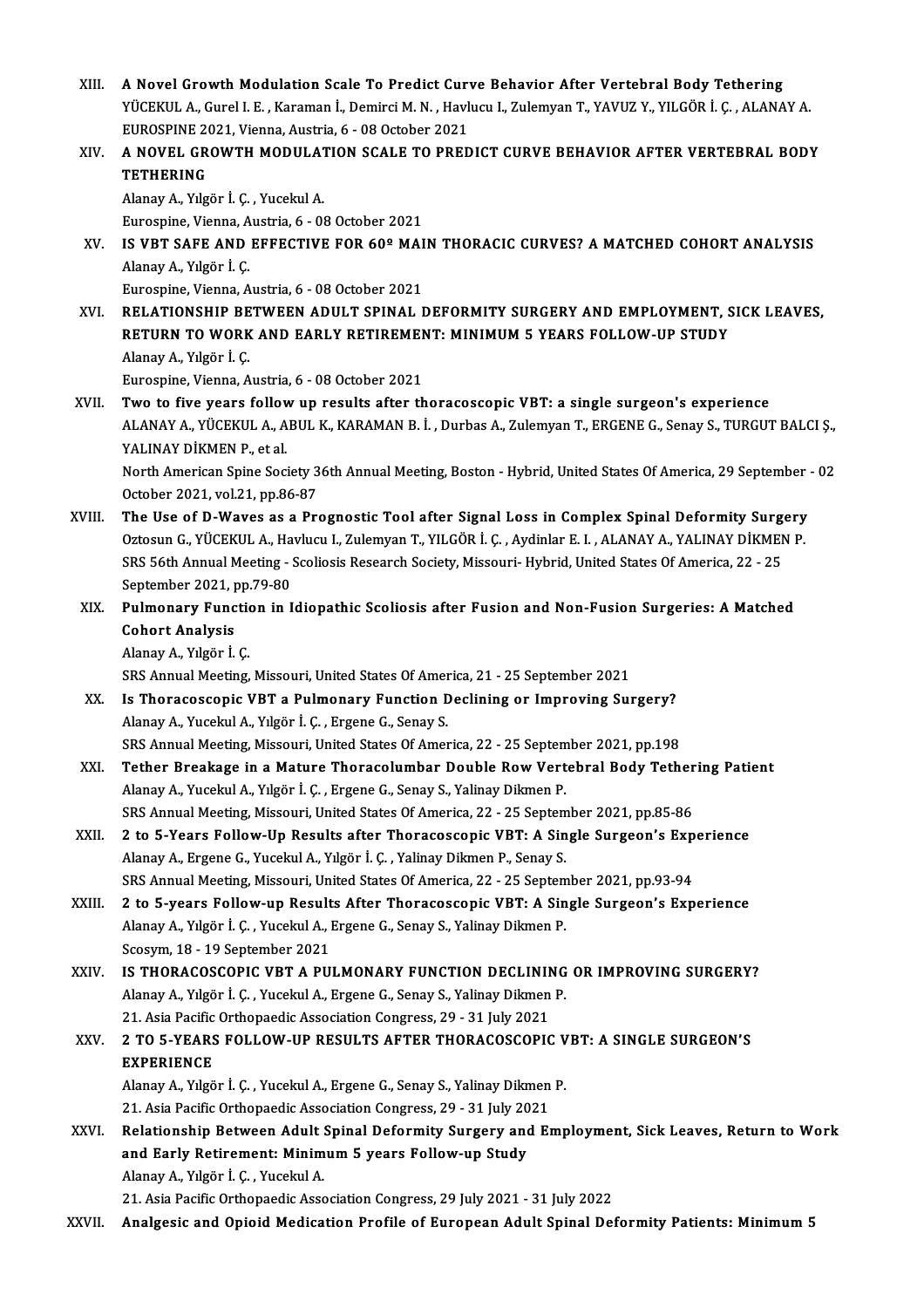- XIII. A Novel Growth Modulation Scale To Predict Curve Behavior After Vertebral Body Tethering<br>Vicevul A Gural LE, Karaman L Demirsi M N. Haylusu L Zulamyan T, VAVUZ V, VU CÖR L.G. ALANA A Novel Growth Modulation Scale To Predict Curve Behavior After Vertebral Body Tethering<br>YÜCEKUL A., Gurel I. E. , Karaman İ., Demirci M. N. , Havlucu I., Zulemyan T., YAVUZ Y., YILGÖR İ. Ç. , ALANAY A.<br>FUROSPINE 2021 Vien A Novel Growth Modulation Scale To Predict Curv<br>YÜCEKUL A., Gurel I. E. , Karaman İ., Demirci M. N. , Havl<br>EUROSPINE 2021, Vienna, Austria, 6 - 08 October 2021<br>A NOVEL GROWTH MODIU ATION SCALE TO PRED YÜCEKUL A., Gurel I. E. , Karaman İ., Demirci M. N. , Havlucu I., Zulemyan T., YAVUZ Y., YILGÖR İ. Ç. , ALANAY A.<br>EUROSPINE 2021, Vienna, Austria, 6 - 08 October 2021<br>XIV. A NOVEL GROWTH MODULATION SCALE TO PREDICT CUR EUROSPINE 2021. Vienna. Austria. 6 - 08 October 2021
- AlanayA.,Yılgör İ.Ç. ,YucekulA. TETHERING<br>Alanay A., Yılgör İ. Ç. , Yucekul A.<br>Eurospine, Vienna, Austria, 6 - 08 October 2021<br>IS VPT SAEE AND EEEECTIVE EOR 608 MAI XV. IS VBT SAFE AND EFFECTIVE FOR 60º MAIN THORACIC CURVES? A MATCHED COHORT ANALYSIS<br>Alanay A., Yılgör İ. C. Eurospine, Vienna, A<br>**IS VBT SAFE AND**<br>Alanay A., Yılgör İ. Ç.<br>Eurospine Vienna, A Eurospine, Vienna, Austria, 6 - 08 October 2021 Alanay A., Yılgör İ. Ç.<br>Eurospine, Vienna, Austria, 6 - 08 October 2021<br>XVI. RELATIONSHIP BETWEEN ADULT SPINAL DEFORMITY SURGERY AND EMPLOYMENT, SICK LEAVES,<br>RETURN TO WORK AND FARI V RETIREMENT, MINIMUM E VEARS FOLLOW UR Eurospine, Vienna, Austria, 6 - 08 October 2021<br>RELATIONSHIP BETWEEN ADULT SPINAL DEFORMITY SURGERY AND EMPLOYMENT, S<br>RETURN TO WORK AND EARLY RETIREMENT: MINIMUM 5 YEARS FOLLOW-UP STUDY<br>Alanay A. Yulgën I. C RETURN TO WORK AND EARLY RETIREMENT: MINIMUM 5 YEARS FOLLOW-UP STUDY Alanay A., Yılgör İ. Ç. Eurospine, Vienna, Austria, 6 - 08 October 2021 XVII. Two to five years follow up results after thoracoscopic VBT: a single surgeon's experience Eurospine, Vienna, Austria, 6 - 08 October 2021<br>**Two to five years follow up results after thoracoscopic VBT: a single surgeon's experience<br>ALANAY A., YÜCEKUL A., ABUL K., KARAMAN B. İ. , Durbas A., Zulemyan T., ERGENE G., Two to five years follov<br>ALANAY A., YÜCEKUL A., A<br>YALINAY DİKMEN P., et al.**<br>North American Snine Soci ALANAY A., YÜCEKUL A., ABUL K., KARAMAN B. İ. , Durbas A., Zulemyan T., ERGENE G., Senay S., TURGUT BALCI Ş.,<br>YALINAY DİKMEN P., et al.<br>North American Spine Society 36th Annual Meeting, Boston - Hybrid, United States Of Am YALINAY DİKMEN P., et al.<br>North American Spine Society 36th Annual Meeting, Boston - Hybrid, United States Of America, 29 September - 02<br>October 2021, vol.21, pp.86-87 North American Spine Society 36th Annual Meeting, Boston - Hybrid, United States Of America, 29 September<br>October 2021, vol.21, pp.86-87<br>XVIII. The Use of D-Waves as a Prognostic Tool after Signal Loss in Complex Spinal De October 2021, vol.21, pp.86-87<br>The Use of D-Waves as a Prognostic Tool after Signal Loss in Complex Spinal Deformity Surgery<br>Oztosun G., YÜCEKUL A., Havlucu I., Zulemyan T., YILGÖR İ. Ç. , Aydinlar E. I. , ALANAY A., YALIN The Use of D-Waves as a Prognostic Tool after Signal Loss in Complex Spinal Deformity Surge<br>Oztosun G., YÜCEKUL A., Havlucu I., Zulemyan T., YILGÖR İ. Ç. , Aydinlar E. I. , ALANAY A., YALINAY DİKMEN<br>SRS 56th Annual Meeting Oztosun G., YÜCEKUL A., Havlucu I., Zulemyan T., YILGÖR İ. Ç. , Aydinlar E. I. , ALANAY A., YALINAY DİKMEN P.<br>SRS 56th Annual Meeting - Scoliosis Research Society, Missouri- Hybrid, United States Of America, 22 - 25<br>Septem SRS 56th Annual Meeting - Scoliosis Research Society, Missouri- Hybrid, United States Of America, 22 - 25<br>September 2021, pp.79-80<br>XIX. Pulmonary Function in Idiopathic Scoliosis after Fusion and Non-Fusion Surgeries: A Ma September 2021, p<br>Pulmonary Func<br>Cohort Analysis<br>Alanay A. Vilgën İ. Pulmonary Function<br>Cohort Analysis<br>Alanay A., Yılgör İ. Ç.<br>SPS Annuel Mesting Cohort Analysis<br>Alanay A., Yılgör İ. Ç.<br>SRS Annual Meeting, Missouri, United States Of America, 21 - 25 September 2021 XX. Is Thoracoscopic VBT a Pulmonary Function Declining or Improving Surgery? AlanayA.,YucekulA.,Yılgör İ.Ç. ,ErgeneG.,Senay S. SRS Annual Meeting, Missouri, United States Of America, 22 - 25 September 2021, pp.198 XXI. Tether Breakage in a Mature Thoracolumbar Double Row Vertebral Body Tethering Patient Alanay A., Yucekul A., Yılgör İ. Ç. , Ergene G., Senay S., Yalinay Dikmen P. Tether Breakage in a Mature Thoracolumbar Double Row Vertebral Body Tether<br>Alanay A., Yucekul A., Yılgör İ. Ç. , Ergene G., Senay S., Yalinay Dikmen P.<br>SRS Annual Meeting, Missouri, United States Of America, 22 - 25 Septem Alanay A., Yucekul A., Yılgör İ. Ç. , Ergene G., Senay S., Yalinay Dikmen P.<br>SRS Annual Meeting, Missouri, United States Of America, 22 - 25 September 2021, pp.85-86<br>XXII. 2 to 5-Years Follow-Up Results after Thoracoscopic SRS Annual Meeting, Missouri, United States Of America, 22 - 25 Septem<br>2 to 5-Years Follow-Up Results after Thoracoscopic VBT: A Sin<br>Alanay A., Ergene G., Yucekul A., Yılgör İ. Ç. , Yalinay Dikmen P., Senay S.<br>SPS Annual M 2 to 5-Years Follow-Up Results after Thoracoscopic VBT: A Single Surgeon's Experience<br>Alanay A., Ergene G., Yucekul A., Yılgör İ. Ç. , Yalinay Dikmen P., Senay S.<br>SRS Annual Meeting, Missouri, United States Of America, 22 XXIII. 2 to 5-years Follow-up Results After Thoracoscopic VBT: A Single Surgeon's Experience SRS Annual Meeting, Missouri, United States Of America, 22 - 25 Septem<br>2 to 5-years Follow-up Results After Thoracoscopic VBT: A Sin<br>Alanay A., Yılgör İ. Ç. , Yucekul A., Ergene G., Senay S., Yalinay Dikmen P.<br>Sensum 19 - 2 to 5-years Follow-up Result<br>Alanay A., Yılgör İ. Ç. , Yucekul A., I<br>Scosym, 18 - 19 September 2021<br>IS THORACOSCORIC VET A BIL Scosym, 18 - 19 September 2021<br>XXIV. IS THORACOSCOPIC VBT A PULMONARY FUNCTION DECLINING OR IMPROVING SURGERY? Scosym, 18 - 19 September 2021<br>IS THORACOSCOPIC VBT A PULMONARY FUNCTION DECLINING<br>Alanay A., Yılgör İ.Ç. , Yucekul A., Ergene G., Senay S., Yalinay Dikmen P.<br>21. Asia Basifis Orthonaedis Assosiation Consesses 29 - 21 July IS THORACOSCOPIC VBT A PULMONARY FUNCTION DECLININ<br>Alanay A., Yılgör İ. Ç. , Yucekul A., Ergene G., Senay S., Yalinay Dikmen<br>21. Asia Pacific Orthopaedic Association Congress, 29 - 31 July 2021<br>2.TO E VEARS FOLLOW UR RESUL Alanay A., Yılgör İ. Ç. , Yucekul A., Ergene G., Senay S., Yalinay Dikmen P.<br>21. Asia Pacific Orthopaedic Association Congress, 29 - 31 July 2021<br>XXV. 2 TO 5-YEARS FOLLOW-UP RESULTS AFTER THORACOSCOPIC VBT: A SINGLE SURGEO 21. Asia Pacific Orthopaedic Association Congress, 29 - 31 July 2021<br>2 TO 5-YEARS FOLLOW-UP RESULTS AFTER THORACOSCOPION<br>EXPERIENCE 2 TO 5-YEARS FOLLOW-UP RESULTS AFTER THORACOSCOPIC V<br>EXPERIENCE<br>Alanay A., Yılgör İ.Ç. , Yucekul A., Ergene G., Senay S., Yalinay Dikmen P.<br>21. Asia Basifis Orthopaedia Assosiation Conspesse 20 - 21 July 2021 Alanay A., Yılgör İ. Ç., Yucekul A., Ergene G., Senay S., Yalinay Dikmen P. XXVI. Relationship Between Adult Spinal Deformity Surgery and Employment, Sick Leaves, Return to Work 21. Asia Pacific Orthopaedic Association Congress, 29 - 31 July 2021<br>Relationship Between Adult Spinal Deformity Surgery and E<br>and Early Retirement: Minimum 5 years Follow-up Study<br>Alanay A., Yılgör İ. Ç. , Yucekul A. and Early Retirement: Minimum 5 years Follow-up Study 21. Asia Pacific Orthopaedic Association Congress, 29 July 2021 - 31 July 2022
- XXVII. Analgesic and Opioid Medication Profile of European Adult Spinal Deformity Patients: Minimum 5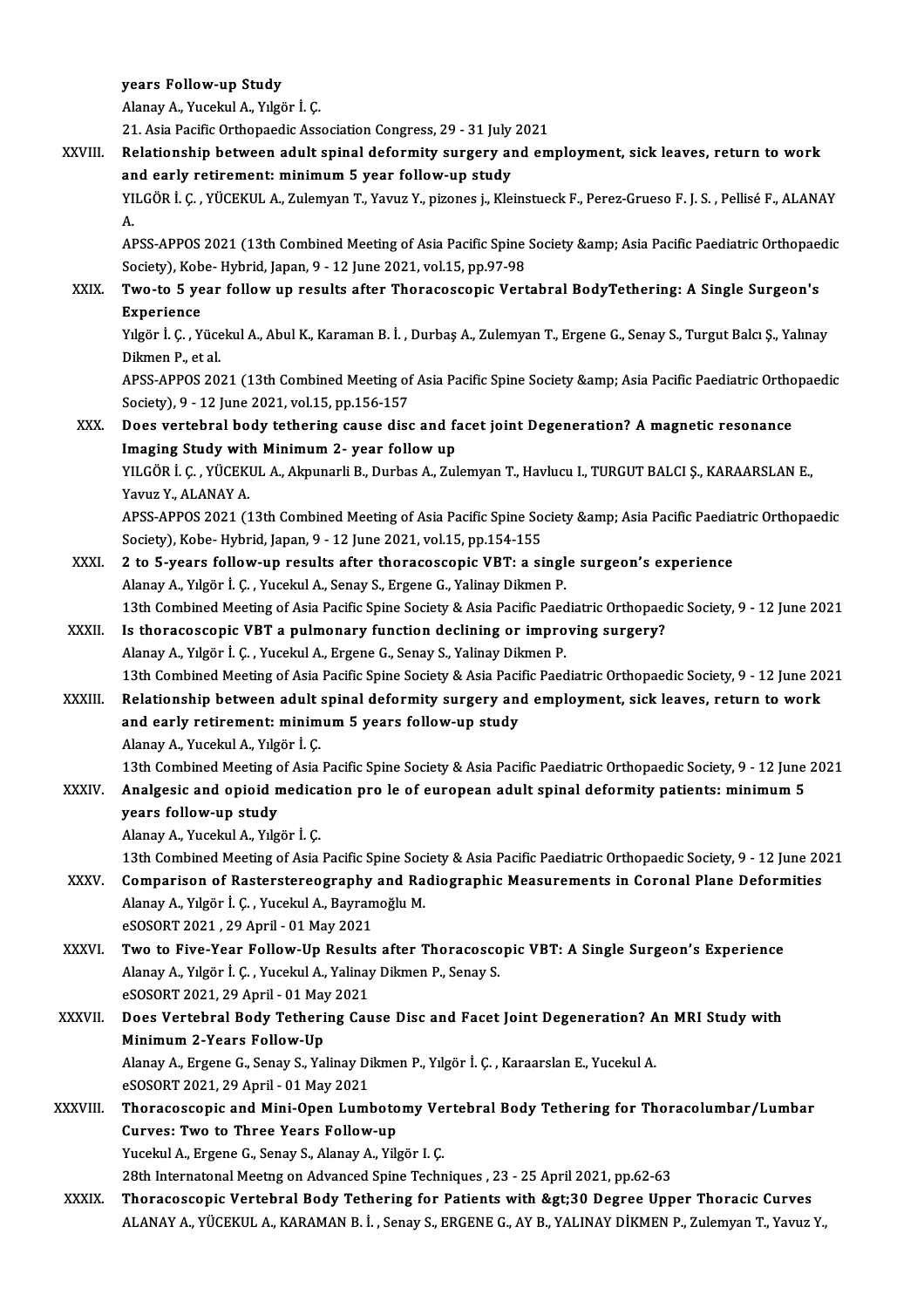years Follow-up Study

AlanayA.,YucekulA.,Yılgör İ.Ç.

21. Asia Pacific Orthopaedic Association Congress, 29 - 31 July 2021

# Alanay A., Yucekul A., Yılgör İ. Ç.<br>21. Asia Pacific Orthopaedic Association Congress, 29 - 31 July 2021<br>XXVIII. Relationship between adult spinal deformity surgery and employment, sick leaves, return to work<br>2nd early 21. Asia Pacific Orthopaedic Association Congress, 29 - 31 July<br>Relationship between adult spinal deformity surgery and<br>and early retirement: minimum 5 year follow-up study<br>VILCOP L.C., VÜCEKULA, Zulamvan T. Vauus V. piron Relationship between adult spinal deformity surgery and employment, sick leaves, return to work<br>and early retirement: minimum 5 year follow-up study<br>YILGÖR İ. Ç. , YÜCEKUL A., Zulemyan T., Yavuz Y., pizones j., Kleinstueck

an<br>YI<br>A. YILGÖR İ. Ç. , YÜCEKUL A., Zulemyan T., Yavuz Y., pizones j., Kleinstueck F., Perez-Grueso F. J. S. , Pellisé F., ALANAY<br>A.<br>APSS-APPOS 2021 (13th Combined Meeting of Asia Pacific Spine Society &amp; Asia Pacific Paediatric

A.<br>APSS-APPOS 2021 (13th Combined Meeting of Asia Pacific Spine<br>Society), Kobe- Hybrid, Japan, 9 - 12 June 2021, vol.15, pp.97-98<br>Two to 5 year follow un regults after Thoracoscopis Vort APSS-APPOS 2021 (13th Combined Meeting of Asia Pacific Spine Society & Asia Pacific Paediatric Orthopaed<br>Society), Kobe-Hybrid, Japan, 9 - 12 June 2021, vol.15, pp.97-98<br>XXIX. Two-to 5 year follow up results after Thor

# Society), Kob<br><mark>Two-to 5 ye</mark><br>Experience<br><sup>Vilgën</sub>i 6 - V</sup> Two-to 5 year follow up results after Thoracoscopic Vertabral BodyTethering: A Single Surgeon's<br>Experience<br>Yılgör İ. Ç. , Yücekul A., Abul K., Karaman B. İ. , Durbaş A., Zulemyan T., Ergene G., Senay S., Turgut Balcı Ş., Y

**Experience**<br>Yılgör İ. Ç. , Yücekul A., Abul K., Karaman B. İ. , Durbaş A., Zulemyan T., Ergene G., Senay S., Turgut Balcı Ş., Yalınay<br>Dikmen P., et al. Yılgör İ. Ç. , Yücekul A., Abul K., Karaman B. İ. , Durbaş A., Zulemyan T., Ergene G., Senay S., Turgut Balcı Ş., Yalınay<br>Dikmen P., et al.<br>APSS-APPOS 2021 (13th Combined Meeting of Asia Pacific Spine Society &amp; Asia Pa

Dikmen P., et al.<br>APSS-APPOS 2021 (13th Combined Meeting of<br>Society), 9 - 12 June 2021, vol.15, pp.156-157<br>Doss vertebrel body tetbering sevee disc APSS-APPOS 2021 (13th Combined Meeting of Asia Pacific Spine Society & amp; Asia Pacific Paediatric Orthonology, 9 - 12 June 2021, vol.15, pp.156-157<br>XXX. Does vertebral body tethering cause disc and facet joint Degenerati

# Society), 9 - 12 June 2021, vol.15, pp.156-157<br>Does vertebral body tethering cause disc and faith<br>Imaging Study with Minimum 2- year follow up<br>VU COP L.C., VÜCEKUU A. Almungrli B. Durbes A. Zul

Does vertebral body tethering cause disc and facet joint Degeneration? A magnetic resonance<br>Imaging Study with Minimum 2- year follow up<br>YILGÖR İ.Ç., YÜCEKUL A., Akpunarli B., Durbas A., Zulemyan T., Havlucu I., TURGUT BAL **Imaging Study with<br>YILGÖR İ. Ç. , YÜCEKI<br>Yavuz Y., ALANAY A.<br>APSS APPOS 2021 (1** YILGÖR İ. Ç. , YÜCEKUL A., Akpunarli B., Durbas A., Zulemyan T., Havlucu I., TURGUT BALCI Ş., KARAARSLAN E.,<br>Yavuz Y., ALANAY A.<br>APSS-APPOS 2021 (13th Combined Meeting of Asia Pacific Spine Society &amp; Asia Pacific Paedi

Yavuz Y., ALANAY A.<br>APSS-APPOS 2021 (13th Combined Meeting of Asia Pacific Spine So<br>Society), Kobe- Hybrid, Japan, 9 - 12 June 2021, vol.15, pp.154-155<br>2 to 5, voors follow, un results after thorasossonis VPT: a si APSS-APPOS 2021 (13th Combined Meeting of Asia Pacific Spine Society & amp; Asia Pacific Paedia<br>Society), Kobe-Hybrid, Japan, 9 - 12 June 2021, vol.15, pp.154-155<br>XXXI. 2 to 5-years follow-up results after thoracoscopic VB

Society), Kobe- Hybrid, Japan, 9 - 12 June 2021, vol.15, pp.154-155<br>2 to 5-years follow-up results after thoracoscopic VBT: a single surgeon's experience<br>Alanay A., Yılgör İ. Ç. , Yucekul A., Senay S., Ergene G., Yalinay D 2 to 5-years follow-up results after thoracoscopic VBT: a single surgeon's experience<br>Alanay A., Yılgör İ. Ç. , Yucekul A., Senay S., Ergene G., Yalinay Dikmen P.<br>13th Combined Meeting of Asia Pacific Spine Society & Asia

- XXXII. Is thoracoscopic VBT a pulmonary function declining or improving surgery?<br>Alanay A., Yılgör İ. Ç., Yucekul A., Ergene G., Senay S., Yalinay Dikmen P. 13th Combined Meeting of Asia Pacific Spine Society & Asia Pacific Paed<br>Is thoracoscopic VBT a pulmonary function declining or impro<br>Alanay A., Yılgör İ. Ç. , Yucekul A., Ergene G., Senay S., Yalinay Dikmen P.<br>12th Combine 13thCombinedMeeting ofAsiaPacific Spine Society&AsiaPacificPaediatricOrthopaedic Society,9 -12 June 2021
- XXXIII. Relationship between adult spinal deformity surgery and employment, sick leaves, return to work 13th Combined Meeting of Asia Pacific Spine Society & Asia Paci<br>Relationship between adult spinal deformity surgery and<br>and early retirement: minimum 5 years follow-up study<br>Alanay A. Yugalul A. Yugar L.C. Relationship between adult :<br>and early retirement: minim<br>Alanay A., Yucekul A., Yılgör İ. Ç.<br>12th Combined Meeting of Asia Alanay A., Yucekul A., Yılgör İ. Ç.<br>13th Combined Meeting of Asia Pacific Spine Society & Asia Pacific Paediatric Orthopaedic Society, 9 - 12 June 2021

### Alanay A., Yucekul A., Yılgör İ. Ç.<br>13th Combined Meeting of Asia Pacific Spine Society & Asia Pacific Paediatric Orthopaedic Society, 9 - 12 June<br>XXXIV. Analgesic and opioid medication pro le of european adult spinal 13th Combined Meeting c<br>Analgesic and opioid n<br>years follow-up study<br>Alaney A. Yugalul A. Yug Analgesic and opioid medica<br>years follow-up study<br>Alanay A., Yucekul A., Yılgör İ. Ç.<br>12th Combined Mesting of Asia years follow-up study<br>Alanay A., Yucekul A., Yılgör İ. Ç.<br>13th Combined Meeting of Asia Pacific Spine Society & Asia Pacific Paediatric Orthopaedic Society, 9 - 12 June 2021<br>Companison of Restanstaneography and Rediographi

- Alanay A., Yucekul A., Yılgör İ. Ç.<br>13th Combined Meeting of Asia Pacific Spine Society & Asia Pacific Paediatric Orthopaedic Society, 9 12 June 20<br>XXXV. Comparison of Rasterstereography and Radiographic Measurements in 13th Combined Meeting of Asia Pacific Spine Soc.<br>**Comparison of Rasterstereography and Ra**<br>Alanay A., Yılgör İ. Ç. , Yucekul A., Bayramoğlu M. Comparison of Rasterstereography and Radiographic Measurements in Coronal Plane Deformities<br>Alanay A., Yılgör İ. Ç. , Yucekul A., Bayramoğlu M.<br>eSOSORT 2021 , 29 April - 01 May 2021
- Alanay A., Yılgör İ. Ç. , Yucekul A., Bayramoğlu M.<br>eSOSORT 2021 , 29 April 01 May 2021<br>XXXVI. Two to Five-Year Follow-Up Results after Thoracoscopic VBT: A Single Surgeon's Experience<br>Alanay A. Yılgör İ. G. Yucekul eSOSORT 2021 , 29 April - 01 May 2021<br>**Two to Five-Year Follow-Up Results after Thoracosco**<br>Alanay A., Yılgör İ. Ç. , Yucekul A., Yalinay Dikmen P., Senay S. Alanay A., Yılgör İ. Ç. , Yucekul A., Yalinay Dikmen P., Senay S.<br>eSOSORT 2021, 29 April - 01 May 2021 Alanay A., Yılgör İ. Ç. , Yucekul A., Yalinay Dikmen P., Senay S.<br>eSOSORT 2021, 29 April - 01 May 2021<br>XXXVII. Does Vertebral Body Tethering Cause Disc and Facet Joint Degeneration? An MRI Study with<br>Minimum 3 Years Fellow
- eSOSORT 2021, 29 April 01 May<br>Does Vertebral Body Tetheri<br>Minimum 2-Years Follow-Up<br>Alanay A. Ergane G. Sanay S. Yal Does Vertebral Body Tethering Cause Disc and Facet Joint Degeneration? A<br>Minimum 2-Years Follow-Up<br>Alanay A., Ergene G., Senay S., Yalinay Dikmen P., Yılgör İ. Ç. , Karaarslan E., Yucekul A.<br>^SOSOPT 2021-20 April - 01 May Minimum 2-Years Follow-Up<br>Alanay A., Ergene G., Senay S., Yalinay Dikmen P., Yılgör İ. Ç. , Karaarslan E., Yucekul A.<br>eSOSORT 2021, 29 April - 01 May 2021

### Alanay A., Ergene G., Senay S., Yalinay Dikmen P., Yılgör İ. Ç. , Karaarslan E., Yucekul A.<br>eSOSORT 2021, 29 April - 01 May 2021<br>XXXVIII. Thoracoscopic and Mini-Open Lumbotomy Vertebral Body Tethering for Thoracolumbar eSOSORT 2021, 29 April - 01 May 2021<br>Thoracoscopic and Mini-Open Lumboto<br>Curves: Two to Three Years Follow-up<br>Yugolul A, Frgane G, Senay S, Alanay A, Vila Curves: Two to Three Years Follow-up<br>Yucekul A., Ergene G., Senay S., Alanay A., Yilgör I. Ç.

28th Internatonal Meetng on Advanced Spine Techniques, 23 - 25 April 2021, pp.62-63

XXXIX. Thoracoscopic Vertebral Body Tethering for Patients with >30 Degree Upper Thoracic Curves ALANAY A., YÜCEKUL A., KARAMAN B. İ., Senay S., ERGENE G., AY B., YALINAY DİKMEN P., Zulemyan T., Yavuz Y.,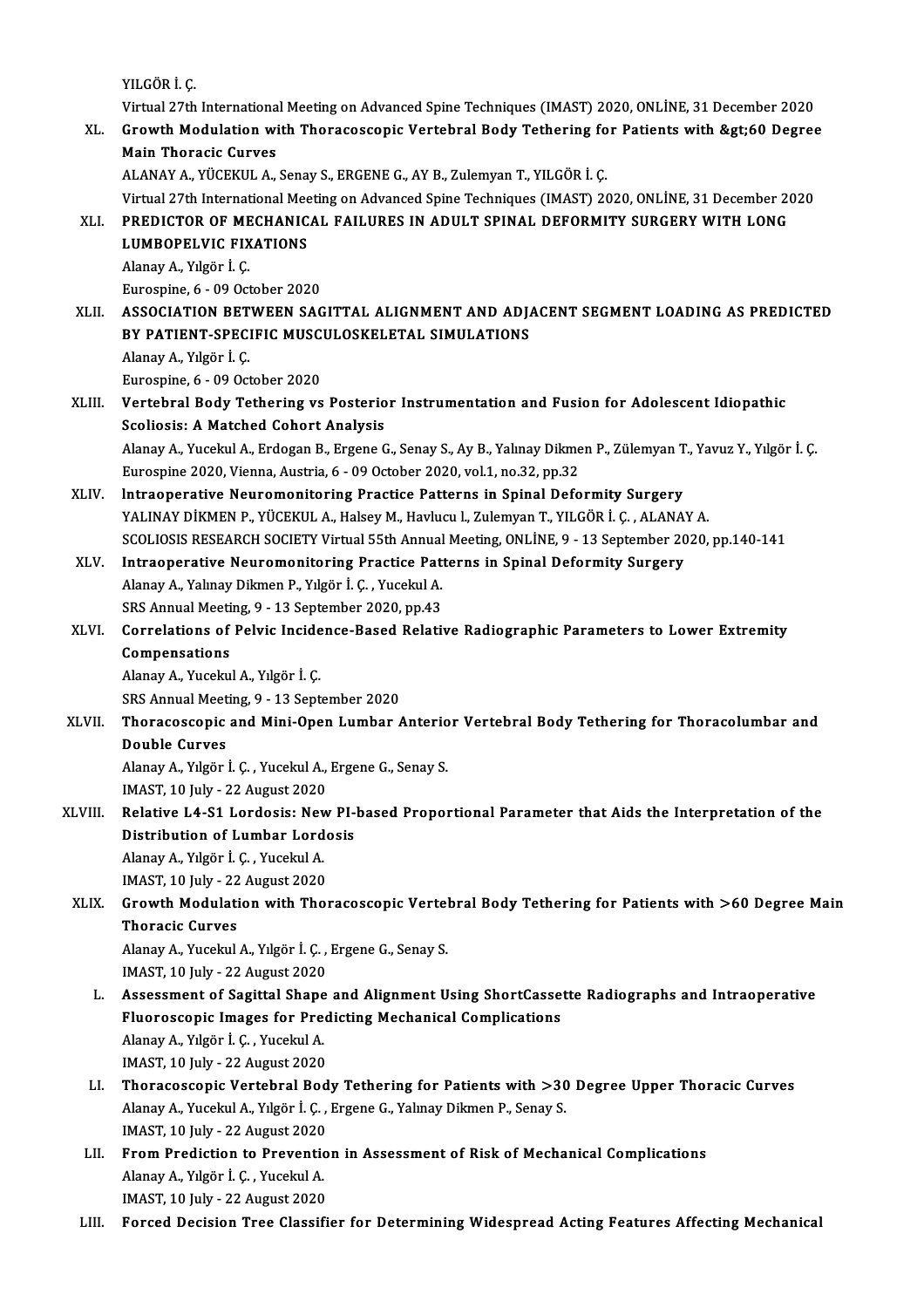YILGÖRİ.Ç.

YILGÖR İ. Ç.<br>Virtual 27th International Meeting on Advanced Spine Techniques (IMAST) 2020, ONLİNE, 31 December 2020<br>Crowth Medulation with Thoreasseania Vertebral Body Tethering for Patients with Setión Desres XL. Growth Modulation with Thoracoscopic Vertebral Body Tethering for Patients with >60 Degree<br>Main Thoracic Curves Virtual 27th Internationa<br>Growth Modulation wi<br>Main Thoracic Curves<br>ALANAX A WÜCEKUL A ALANAY A., YÜCEKUL A., Senay S., ERGENE G., AY B., Zulemyan T., YILGÖR İ. Ç. Virtual27th InternationalMeeting onAdvanced SpineTechniques (IMAST) 2020,ONLİNE,31December 2020 ALANAY A., YÜCEKUL A., Senay S., ERGENE G., AY B., Zulemyan T., YILGÖR İ. Ç.<br>Virtual 27th International Meeting on Advanced Spine Techniques (IMAST) 2020, ONLİNE, 31 December 2<br>XLI. PREDICTOR OF MECHANICAL FAILURES IN ADUL Virtual 27th International Mee<br>PREDICTOR OF MECHANIC<br>LUMBOPELVIC FIXATIONS<br>Alanay A - Vilgër I-C **PREDICTOR OF ME<br>LUMBOPELVIC FIX<br>Alanay A., Yılgör İ. Ç.<br>Furosnina 6 - 09 Oct** LUMBOPELVIC FIXATIONS<br>Alanay A., Yılgör İ. Ç.<br>Eurospine, 6 - 09 October 2020 Alanay A., Yılgör İ. Ç.<br>Eurospine, 6 - 09 October 2020<br>XLII. ASSOCIATION BETWEEN SAGITTAL ALIGNMENT AND ADJACENT SEGMENT LOADING AS PREDICTED<br>RY BATIENT SPECIELC MUSCULOSKELETAL SIMILLATIONS Eurospine, 6 - 09 October 2020<br>ASSOCIATION BETWEEN SAGITTAL ALIGNMENT AND ADJ.<br>BY PATIENT-SPECIFIC MUSCULOSKELETAL SIMULATIONS<br>Alanay A. Vilgèn I.C BY PATIENT-SPECIFIC MUSCULOSKELETAL SIMULATIONS<br>Alanay A., Yılgör İ. Ç. Eurospine, 6 - 09 October 2020 Alanay A., Yılgör İ. Ç.<br>Eurospine, 6 - 09 October 2020<br>XLIII. Vertebral Body Tethering vs Posterior Instrumentation and Fusion for Adolescent Idiopathic<br>Seeliesis: A Matched Cebert Anelysis Eurospine, 6 - 09 October 2020<br>Vertebral Body Tethering vs Posterio<br>Scoliosis: A Matched Cohort Analysis<br>Alanay A Vuselul A Exdegan B Engene C Vertebral Body Tethering vs Posterior Instrumentation and Fusion for Adolescent Idiopathic<br>Scoliosis: A Matched Cohort Analysis<br>Alanay A., Yucekul A., Erdogan B., Ergene G., Senay S., Ay B., Yalınay Dikmen P., Zülemyan T., Scoliosis: A Matched Cohort Analysis<br>Alanay A., Yucekul A., Erdogan B., Ergene G., Senay S., Ay B., Yalınay Dikme<br>Eurospine 2020, Vienna, Austria, 6 - 09 October 2020, vol.1, no.32, pp.32<br>Intreaperative Neuromonitaring Pre Eurospine 2020, Vienna, Austria, 6 - 09 October 2020, vol.1, no.32, pp.32<br>XLIV. Intraoperative Neuromonitoring Practice Patterns in Spinal Deformity Surgery Eurospine 2020, Vienna, Austria, 6 - 09 October 2020, vol.1, no.32, pp.32<br>Intraoperative Neuromonitoring Practice Patterns in Spinal Deformity Surgery<br>YALINAY DİKMEN P., YÜCEKUL A., Halsey M., Havlucu l., Zulemyan T., YILG SCOLIOSIS RESEARCH SOCIETY Virtual 55th Annual Meeting, ONLINE, 9 - 13 September 2020, pp.140-141<br>Intraoperative Neuromonitoring Practice Patterns in Spinal Deformity Surgery YALINAY DİKMEN P., YÜCEKUL A., Halsey M., Havlucu I., Zulemyan T., YILGÖR İ. Ç. , ALANA'<br>SCOLIOSIS RESEARCH SOCIETY Virtual 55th Annual Meeting, ONLİNE, 9 - 13 September 20<br>XLV. Intraoperative Neuromonitoring Practice Patt SCOLIOSIS RESEARCH SOCIETY Virtual 55th Annual<br>Intraoperative Neuromonitoring Practice Pat<br>Alanay A., Yalınay Dikmen P., Yılgör İ. Ç. , Yucekul A.<br>SPS Annual Mesting 9, 12 September 2020 pp.42 Intraoperative Neuromonitoring Practice Patt<br>Alanay A., Yalınay Dikmen P., Yılgör İ. Ç. , Yucekul A.<br>SRS Annual Meeting, 9 - 13 September 2020, pp.43<br>Correlations of Bolyis Insidense Based Bolativ Alanay A., Yalınay Dikmen P., Yılgör İ. Ç. , Yucekul A.<br>SRS Annual Meeting, 9 - 13 September 2020, pp.43<br>XLVI. Correlations of Pelvic Incidence-Based Relative Radiographic Parameters to Lower Extremity SRS Annual Meeting, 9 - 13 September 2020, pp.43<br>Correlations of Pelvic Incidence-Based Relati<br>Compensations<br>Alanay A., Yucekul A., Yılgör İ. C. **Correlations of Pelvic Incide<br>Compensations<br>Alanay A., Yucekul A., Yılgör İ. Ç.<br>SPS Annual Meeting A., 13 Sent** SRS Annual Meeting, 9 - 13 September 2020 Alanay A., Yucekul A., Yılgör İ. Ç.<br>SRS Annual Meeting, 9 - 13 September 2020<br>XLVII. Thoracoscopic and Mini-Open Lumbar Anterior Vertebral Body Tethering for Thoracolumbar and<br>Double Gurwes **SRS Annual Meet<br>Thoracoscopic<br>Double Curves<br>Alanay A. Vilgõn** Thoracoscopic and Mini-Open Lumbar Anterio<br>Double Curves<br>Alanay A., Yılgör İ. Ç. , Yucekul A., Ergene G., Senay S.<br>IMAST 10 July - 22 August 2020 Double Curves<br>Alanay A., Yılgör İ. Ç. , Yucekul A., Ergene G., Senay S.<br>IMAST, 10 July - 22 August 2020 Alanay A., Yılgör İ. Ç. , Yucekul A., Ergene G., Senay S.<br>IMAST, 10 July - 22 August 2020<br>XLVIII. Relative L4-S1 Lordosis: New PI-based Proportional Parameter that Aids the Interpretation of the<br>Distribution of Lumbar Lord IMAST, 10 July - 22 August 2020<br>Relative L4-S1 Lordosis: New PI-<br>Distribution of Lumbar Lordosis<br>Alanay A. Vugân L.C. Vugalul A Relative L4-S1 Lordosis: Nev<br>Distribution of Lumbar Lord<br>Alanay A., Yılgör İ.Ç. , Yucekul A.<br>IMAST 10 July 22 Aygust 2020 Distribution of Lumbar Lordosis<br>Alanay A., Yılgör İ. Ç. , Yucekul A.<br>IMAST, 10 July - 22 August 2020 Alanay A., Yılgör İ. Ç. , Yucekul A.<br>IMAST, 10 July - 22 August 2020<br>XLIX. Growth Modulation with Thoracoscopic Vertebral Body Tethering for Patients with >60 Degree Main<br>Thoracis Guryes IMAST, 10 July - 22<br>Growth Modulati<br>Thoracic Curves<br>Alanay A Yusalay Growth Modulation with Thoracoscopic Vertel<br>Thoracic Curves<br>Alanay A., Yucekul A., Yılgör İ. Ç. , Ergene G., Senay S.<br>IMAST 10 July - 22 August 2020 Thoracic Curves<br>Alanay A., Yucekul A., Yılgör İ. Ç. , Ergene G., Senay S.<br>IMAST, 10 July - 22 August 2020 Alanay A., Yucekul A., Yılgör İ. Ç. , Ergene G., Senay S.<br>IMAST, 10 July - 22 August 2020<br>L. Assessment of Sagittal Shape and Alignment Using ShortCassette Radiographs and Intraoperative<br>Elueressenia Images for Bredisting IMAST, 10 July - 22 August 2020<br>Assessment of Sagittal Shape and Alignment Using ShortCasse<br>Fluoroscopic Images for Predicting Mechanical Complications<br>Alanay A. Vugër L.C. Vugelul A Assessment of Sagittal Shape<br>Fluoroscopic Images for Pre<br>Alanay A., Yılgör İ. Ç. , Yucekul A.<br>IMAST 10 July - 22 August 2020 Fluoroscopic Images for Pred<br>Alanay A., Yılgör İ. Ç. , Yucekul A.<br>IMAST, 10 July - 22 August 2020<br>Thorososcopia Vertebral Bod LI. Thoracoscopic Vertebral Body Tethering for Patients with >30 Degree Upper Thoracic Curves IMAST, 10 July - 22 August 2020<br>Thoracoscopic Vertebral Body Tethering for Patients with >30<br>Alanay A., Yucekul A., Yılgör İ. Ç. , Ergene G., Yalınay Dikmen P., Senay S.<br>IMAST 10 July - 22 Avgust 2020 Thoracoscopic Vertebral Bod<br>Alanay A., Yucekul A., Yılgör İ. Ç. ,<br>IMAST, 10 July - 22 August 2020<br>Enem Predistion te Preventio Alanay A., Yucekul A., Yılgör İ. Ç. , Ergene G., Yalınay Dikmen P., Senay S.<br>IMAST, 10 July - 22 August 2020<br>LII. From Prediction to Prevention in Assessment of Risk of Mechanical Complications<br>Alanay A. Vılgör İ. G. Yugel IMAST, 10 July - 22 August 2020<br>From Prediction to Preventic<br>Alanay A., Yılgör İ. Ç. , Yucekul A.<br>IMAST 10 July - 22 August 2020 From Prediction to Preventio<br>Alanay A., Yılgör İ. Ç. , Yucekul A.<br>IMAST, 10 July - 22 August 2020<br>Fersed Desision Tree Classifi Alanay A., Yılgör İ. Ç. , Yucekul A.<br>1930 IMAST, 10 July - 22 August 2020<br>1911 LIII. Forced Decision Tree Classifier for Determining Widespread Acting Features Affecting Mechanical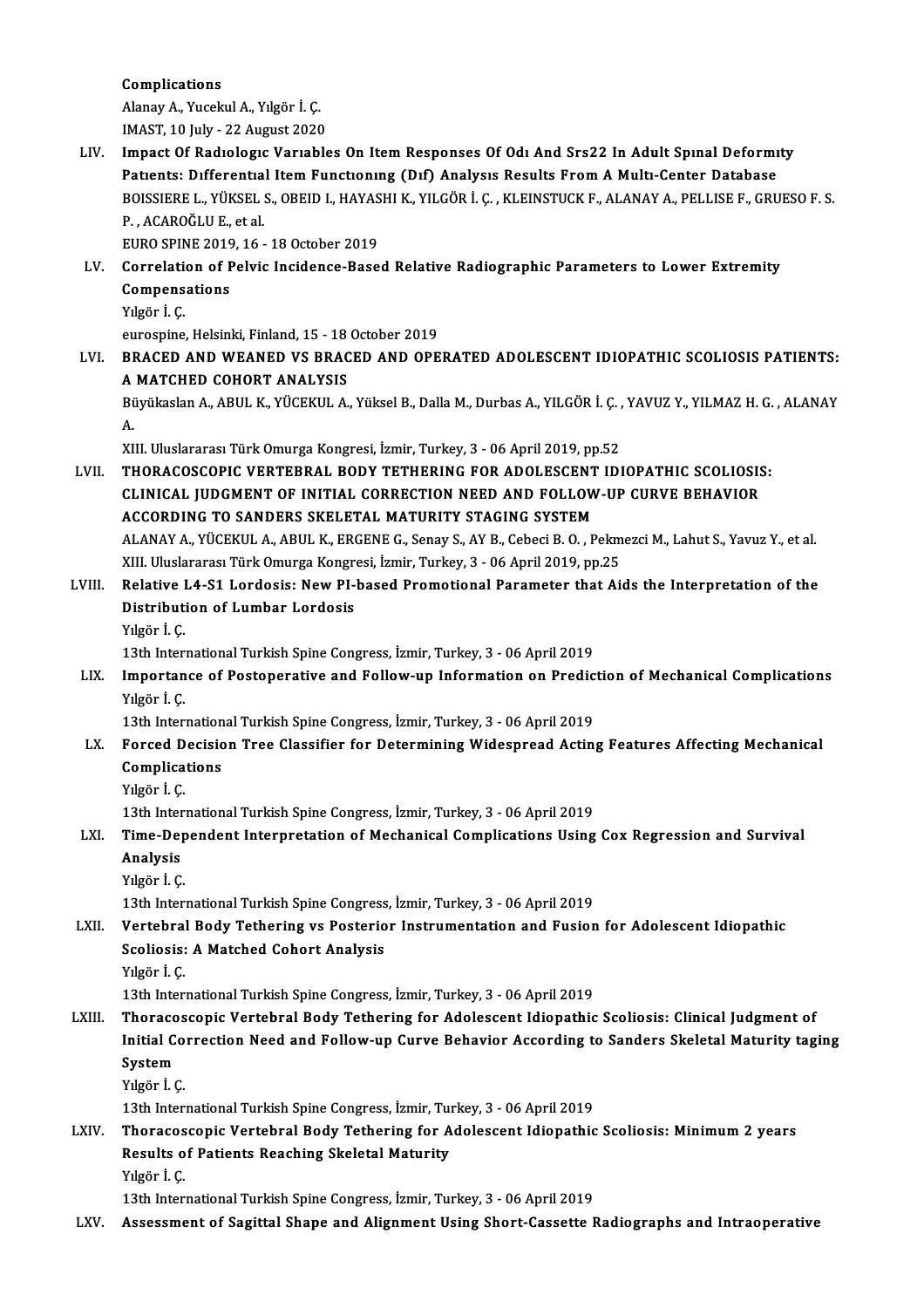Complications

AlanayA.,YucekulA.,Yılgör İ.Ç.

IMAST,10 July -22August2020

Alanay A., Yucekul A., Yılgör İ. Ç.<br>IMAST, 10 July - 22 August 2020<br>LIV. Impact Of Radıologıc Varıables On Item Responses Of Odı And Srs22 In Adult Spınal Deformity<br>Retients: Differential Item Eunstienuss (Dif) Analysi IMAST, 10 July - 22 August 2020<br>Impact Of Radiologic Variables On Item Responses Of Odi And Srs22 In Adult Spinal Deformi<br>Patients: Differential Item Functioning (Dif) Analysis Results From A Multi-Center Database<br>POISSIER Impact Of Radıologic Variables On Item Responses Of Odi And Srs22 In Adult Spinal Deformity<br>Patients: Differential Item Functioning (Dif) Analysis Results From A Multi-Center Database<br>BOISSIERE L., YÜKSEL S., OBEID I., HAY Patients: Differential Item Functioning (Dif) Analysis Results From A Multi-Center Database<br>BOISSIERE L., YÜKSEL S., OBEID I., HAYASHI K., YILGÖR İ. Ç. , KLEINSTUCK F., ALANAY A., PELLISE F., GRU<br>P., ACAROĞLU E., et al.<br>EU BOISSIERE L., YÜKSEL S., OBEID I., HAYAS<br>P. , ACAROĞLU E., et al.<br>EURO SPINE 2019, 16 - 18 October 2019<br>Correlation of Belvis Insidence Base P. , ACAROĞLU E., et al.<br>EURO SPINE 2019, 16 - 18 October 2019<br>LV. Correlation of Pelvic Incidence-Based Relative Radiographic Parameters to Lower Extremity<br>Compensations

EURO SPINE 2019<br>Correlation of F<br>Compensations<br>Visër <sup>i</sup> C Correlati<br>Compens<br>Yılgör İ. Ç.<br>aurosnina Compensations<br>Yılgör İ. Ç.<br>eurospine, Helsinki, Finland, 15 - 18 October 2019

Yılgör İ. Ç.<br>eurospine, Helsinki, Finland, 15 - 18 October 2019<br>LVI. BRACED AND WEANED VS BRACED AND OPERATED ADOLESCENT IDIOPATHIC SCOLIOSIS PATIENTS:<br>A MATCHED COHOPT ANALYSIS eurospine, Helsinki, Finland, 15 - 18<br>BRACED AND WEANED VS BRAC<br>A MATCHED COHORT ANALYSIS<br>Büyükoslan A ABUL K VÜCEKUL A BRACED AND WEANED VS BRACED AND OPERATED ADOLESCENT IDIOPATHIC SCOLIOSIS PATIENTS:<br>A MATCHED COHORT ANALYSIS<br>Büyükaslan A., ABUL K., YÜCEKUL A., Yüksel B., Dalla M., Durbas A., YILGÖR İ. Ç. , YAVUZ Y., YILMAZ H. G. , ALANA

A.<br>Bü<br>A. Büyükaslan A., ABUL K., YÜCEKUL A., Yüksel B., Dalla M., Durbas A., YILGÖR İ. Ç. ,<br>A.<br>XIII. Uluslararası Türk Omurga Kongresi, İzmir, Turkey, 3 - 06 April 2019, pp.52<br>THOPACOSCORIC VERTERRAL, RODY TETHERING EOR ADOLESCENT

A.<br>XIII. Uluslararası Türk Omurga Kongresi, İzmir, Turkey, 3 - 06 April 2019, pp.52<br>LVII. THORACOSCOPIC VERTEBRAL BODY TETHERING FOR ADOLESCENT IDIOPATHIC SCOLIOSIS:<br>CLINICAL UIDCMENT OF INITIAL CORRECTION NEED AND FOL XIII. Uluslararası Türk Omurga Kongresi, İzmir, Turkey, 3 - 06 April 2019, pp.52<br>THORACOSCOPIC VERTEBRAL BODY TETHERING FOR ADOLESCENT IDIOPATHIC SCOLIOSIS<br>CLINICAL JUDGMENT OF INITIAL CORRECTION NEED AND FOLLOW-UP CURVE B THORACOSCOPIC VERTEBRAL BODY TETHERING FOR ADOLESCENT<br>CLINICAL JUDGMENT OF INITIAL CORRECTION NEED AND FOLLOW<br>ACCORDING TO SANDERS SKELETAL MATURITY STAGING SYSTEM<br>ALANAY A VÜCEKUL A ABULK ERCENE C SORRY S AV P Cobeci B Q CLINICAL JUDGMENT OF INITIAL CORRECTION NEED AND FOLLOW-UP CURVE BEHAVIOR<br>ACCORDING TO SANDERS SKELETAL MATURITY STAGING SYSTEM<br>ALANAY A., YÜCEKUL A., ABUL K., ERGENE G., Senay S., AY B., Cebeci B. O. , Pekmezci M., Lahut ACCORDING TO SANDERS SKELETAL MATURITY STAGING SYSTEM<br>ALANAY A., YÜCEKUL A., ABUL K., ERGENE G., Senay S., AY B., Cebeci B. O. , Pekm<br>XIII. Uluslararası Türk Omurga Kongresi, İzmir, Turkey, 3 - 06 April 2019, pp.25<br>Belativ ALANAY A., YÜCEKUL A., ABUL K., ERGENE G., Senay S., AY B., Cebeci B. O. , Pekmezci M., Lahut S., Yavuz Y., et al.<br>XIII. Uluslararası Türk Omurga Kongresi, İzmir, Turkey, 3 - 06 April 2019, pp.25<br>LVIII. Relative L4-S1 Lord

### XIII. Uluslararası Türk Omurga Kongre<br>Relative L4-S1 Lordosis: New PI-<br>Distribution of Lumbar Lordosis<br>Vilgër <sup>i</sup> C Relative<br>Distribut:<br>Yılgör İ. Ç.<br>12th Inter 13th International Turkish International Turkish Spine Congress, İzmir, Turkey, 3 - 06 April<br>13th International Turkish Spine Congress, İzmir, Turkey, 3 - 06 April 2019

Yılgör İ. Ç.<br>13th International Turkish Spine Congress, İzmir, Turkey, 3 - 06 April 2019<br>LIX. Importance of Postoperative and Follow-up Information on Prediction of Mechanical Complications<br>Vılgör İ. G 13th Inter<br>Importan<br>Yılgör İ. Ç.<br>13th Inter Importance of Postoperative and Follow-up Information on Predic<br>Yılgör İ. Ç.<br>13th International Turkish Spine Congress, İzmir, Turkey, 3 - 06 April 2019<br>Forsed Desision Tree Classifier for Determining Widespreed, Astin

### Yılgör İ. Ç.<br>13th International Turkish Spine Congress, İzmir, Turkey, 3 - 06 April 2019<br>LX. Forced Decision Tree Classifier for Determining Widespread Acting Features Affecting Mechanical<br>Compligations 13th International Turkish Spine Congress, İzmir, Turkey, 3 - 06 April 2019<br>Forced Decision Tree Classifier for Determining Widespread Actin<br>Complications<br>Yılgör İ. Ç. Forced D<br>Complica<br>Yılgör İ. Ç.<br>12th Inter Complications<br>Yılgör İ. Ç.<br>13th International Turkish Spine Congress, İzmir, Turkey, 3 - 06 April 2019<br>Time Dependent Internatation of Meshanisal Complications Heing

### Yılgör İ. Ç.<br>13th International Turkish Spine Congress, İzmir, Turkey, 3 - 06 April 2019<br>LXI. Time-Dependent Interpretation of Mechanical Complications Using Cox Regression and Survival 13th Inter<br>Time-De<sub>l</sub><br>Analysis<br><sup>Vilgën</sub>i C</sup> Time-Dep<br>Analysis<br>Yılgör İ. Ç.<br>13th Inter Analysis<br>11gör İ. Ç.<br>13th International Turkish Spine Congress, İzmir, Turkey, 3 - 06 April 2019

### Yılgör İ. Ç.<br>13th International Turkish Spine Congress, İzmir, Turkey, 3 - 06 April 2019<br>LXII. Vertebral Body Tethering vs Posterior Instrumentation and Fusion for Adolescent Idiopathic<br>Scoliosis: A Matched Cobert Anal 13th International Turkish Spine Congress<br>Vertebral Body Tethering vs Posterio<br>Scoliosis: A Matched Cohort Analysis<br>Vigër i C Vertebral<br>Scoliosis:<br>Yılgör İ. Ç.<br>13th Inter 13th International Cohort Analysis<br>13th International Turkish Spine Congress, İzmir, Turkey, 3 - 06 April 2019<br>13th International Turkish Spine Congress, İzmir, Turkey, 3 - 06 April 2019

### LXIII. Thoracoscopic Vertebral Body Tethering for Adolescent Idiopathic Scoliosis: Clinical Judgment of 13th International Turkish Spine Congress, İzmir, Turkey, 3 - 06 April 2019<br>Thoracoscopic Vertebral Body Tethering for Adolescent Idiopathic Scoliosis: Clinical Judgment of<br>Initial Correction Need and Follow-up Curve Behav Thoraco<br>Initial C<br>System<br><sup>Vilgër</sub>i (</sup> Initial Co<br>System<br>Yılgör İ. Ç.<br>12th Inter System<br>Yılgör İ. Ç.<br>13th International Turkish Spine Congress, İzmir, Turkey, 3 - 06 April 2019<br>Theresessenis Vertebral Body: Tethering for Adelessent Idionathis

### Yılgör İ. Ç.<br>13th International Turkish Spine Congress, İzmir, Turkey, 3 - 06 April 2019<br>LXIV. Thoracoscopic Vertebral Body Tethering for Adolescent Idiopathic Scoliosis: Minimum 2 years 13th International Turkish Spine Congress, İzmir, Turkish Spine Congress, İzmir, Turkis Thoracoscopic Vertebral Body Tethering for A<br>Results of Patients Reaching Skeletal Maturity<br>Vilgën İ.C Results of Patients Reaching Skeletal Maturity<br>Yılgör İ.Ç.

13th InternationalTurkish SpineCongress, İzmir,Turkey,3 -06April2019

LXV. Assessment of Sagittal Shape and Alignment Using Short-Cassette Radiographs and Intraoperative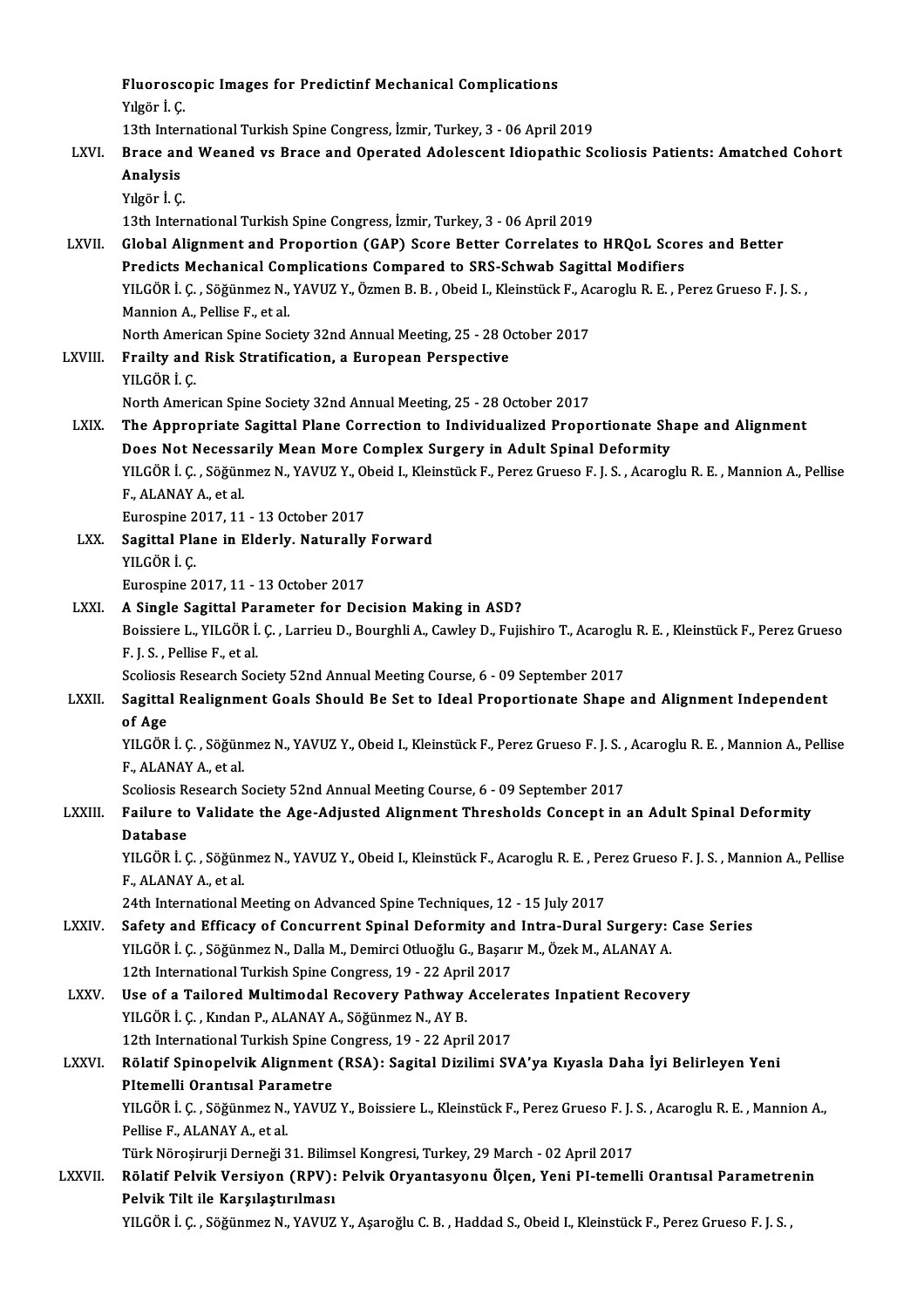Fluoroscopic Images for Predictinf Mechanical Complications<br>Visër <sup>i C</sup> Fluorosco<br>Yılgör İ. Ç.<br>13th Inter Fluoroscopic Images for Predictinf Mechanical Complications<br>Yılgör İ. Ç.<br>13th International Turkish Spine Congress, İzmir, Turkey, 3 - 06 April 2019<br>Prace and Weaned ve Prace and Operated Adelescant Idianathic Sc Yılgör İ. Ç.<br>13th International Turkish Spine Congress, İzmir, Turkey, 3 - 06 April 2019<br>LXVI. Brace and Weaned vs Brace and Operated Adolescent Idiopathic Scoliosis Patients: Amatched Cohort<br>Analysis 13th Inter<br>Brace an<br>Analysis<br><sup>Vilgër i C</sup> Brace an<br>Analysis<br>Yılgör İ. Ç.<br>13th Inter Analysis<br>11gör İ. Ç.<br>13th International Turkish Spine Congress, İzmir, Turkey, 3 - 06 April 2019 LXVII. Global Alignment and Proportion (GAP) Score Better Correlates to HRQoL Scores and Better Predicts Mechanical Complications Compared to SRS-Schwab Sagittal Modifiers Global Alignment and Proportion (GAP) Score Better Correlates to HRQoL Scores and Better<br>Predicts Mechanical Complications Compared to SRS-Schwab Sagittal Modifiers<br>YILGÖR İ. Ç. , Söğünmez N., YAVUZ Y., Özmen B. B. , Obeid Predicts Mechanical Cor<br>YILGÖR İ. Ç. , Söğünmez N.,<br>Mannion A., Pellise F., et al.<br>North American Spine Soci YILGÖR İ. Ç. , Söğünmez N., YAVUZ Y., Özmen B. B. , Obeid I., Kleinstück F., Ac<br>Mannion A., Pellise F., et al.<br>North American Spine Society 32nd Annual Meeting, 25 - 28 October 2017<br>Frailty and Biak Stratification, a Europ Mannion A., Pellise F., et al.<br>North American Spine Society 32nd Annual Meeting, 25 - 28 0<br>LXVIII. Frailty and Risk Stratification, a European Perspective<br>VILCOP L.C North Amer<br>Frailty and<br>YILGÖR İ. Ç.<br>North Amer YILGÖR İ. Ç.<br>North American Spine Society 32nd Annual Meeting, 25 - 28 October 2017 LXIX. The Appropriate Sagittal Plane Correction to Individualized Proportionate Shape and Alignment North American Spine Society 32nd Annual Meeting, 25 - 28 October 2017<br>The Appropriate Sagittal Plane Correction to Individualized Proportionate Sh<br>Does Not Necessarily Mean More Complex Surgery in Adult Spinal Deformity<br>V The Appropriate Sagittal Plane Correction to Individualized Proportionate Shape and Alignment<br>Does Not Necessarily Mean More Complex Surgery in Adult Spinal Deformity<br>YILGÖR İ. Ç. , Söğünmez N., YAVUZ Y., Obeid I., Kleinst **Does Not Necessa<br>YILGÖR İ. Ç. , Söğün<br>F., ALANAY A., et al.<br>Eunospine 2017-11** YILGÖR İ. Ç. , Söğünmez N., YAVUZ Y., Ol<br>F., ALANAY A., et al.<br>Eurospine 2017, 11 - 13 October 2017<br>Segittel Plane in Elderly, Naturally F., ALANAY A., et al.<br>Eurospine 2017, 11 - 13 October 2017<br>LXX. Sagittal Plane in Elderly. Naturally Forward<br>YILGÖR İ. Ç. Eurospine 2017, 11 - 13 October 2017 Eurospine 2017,11 -13October 2017 YILGÖR İ. Ç.<br>Eurospine 2017, 11 - 13 October 2017<br>LXXI. A Single Sagittal Parameter for Decision Making in ASD?<br>Poissional - VILGÖR İ. G. Larriou D. Bourghli A. Gaulay D. Euji Eurospine 2017, 11 - 13 October 2017<br>A Single Sagittal Parameter for Decision Making in ASD?<br>Boissiere L., YILGÖR İ. Ç. , Larrieu D., Bourghli A., Cawley D., Fujishiro T., Acaroglu R. E. , Kleinstück F., Perez Grueso A Single Sagittal Pa<br>Boissiere L., YILGÖR İ.<br>F. J. S. , Pellise F., et al.<br>Scoliosia Bossarsh Sas Boissiere L., YILGÖR İ. Ç. , Larrieu D., Bourghli A., Cawley D., Fujishiro T., Acaroglu<br>F. J. S. , Pellise F., et al.<br>Scoliosis Research Society 52nd Annual Meeting Course, 6 - 09 September 2017<br>Segittal Bealignment Coals F. J. S. , Pellise F., et al.<br>Scoliosis Research Society 52nd Annual Meeting Course, 6 - 09 September 2017<br>LXXII. Sagittal Realignment Goals Should Be Set to Ideal Proportionate Shape and Alignment Independent Scoliosis Research Society 52nd Annual Meeting Course, 6 - 09 September 2017<br>Sagittal Realignment Goals Should Be Set to Ideal Proportionate Shape<br>of Age Sagittal Realignment Goals Should Be Set to Ideal Proportionate Shape and Alignment Independent<br>of Age<br>YILGÖR İ. Ç. , Söğünmez N., YAVUZ Y., Obeid I., Kleinstück F., Perez Grueso F. J. S. , Acaroglu R. E. , Mannion A., Pel YILGÖR İ. Ç. , Söğünmez N., YAVUZ Y., Obeid I., Kleinstück F., Perez Grueso F. J. S. , Acaroglu R. E. , Mannion A., Pellise<br>F., ALANAY A., et al. YILGÖR İ. Ç. , Söğünmez N., YAVUZ Y., Obeid I., Kleinstück F., Perez Grueso F. J. S. ,<br>F., ALANAY A., et al.<br>Scoliosis Research Society 52nd Annual Meeting Course, 6 - 09 September 2017<br>Failure to Validate the Age Adjusted LXXIII. Failure to Validate the Age-Adjusted Alignment Thresholds Concept in an Adult Spinal Deformity<br>Database Scoliosis Re<br>Failure to<br>Database<br>YU CÖP İ C Failure to Validate the Age-Adjusted Alignment Thresholds Concept in an Adult Spinal Deformity<br>Database<br>YILGÖR İ. Ç. , Söğünmez N., YAVUZ Y., Obeid I., Kleinstück F., Acaroglu R. E. , Perez Grueso F. J. S. , Mannion A., Pe <mark>Database</mark><br>YILGÖR İ. Ç. , Söğün<br>F., ALANAY A., et al.<br>24th International N YILGÖR İ. Ç. , Söğünmez N., YAVUZ Y., Obeid I., Kleinstück F., Acaroglu R. E. , Pe<br>F., ALANAY A., et al.<br>24th International Meeting on Advanced Spine Techniques, 12 - 15 July 2017<br>Safaty and Efficacy of Concurrent Spinel D F., ALANAY A., et al.<br>24th International Meeting on Advanced Spine Techniques, 12 - 15 July 2017<br>23. LXXIV. Safety and Efficacy of Concurrent Spinal Deformity and Intra-Dural Surgery: Case Series<br>24th Graty and Efficacy of 24th International Meeting on Advanced Spine Techniques, 12 - 15 July 2017<br>Safety and Efficacy of Concurrent Spinal Deformity and Intra-Dural Surgery:<br>YILGÖR İ. Ç. , Söğünmez N., Dalla M., Demirci Otluoğlu G., Başarır M., Safety and Efficacy of Concurrent Spinal Deformity and<br>YILGÖR İ. Ç. , Söğünmez N., Dalla M., Demirci Otluoğlu G., Başarı<br>12th International Turkish Spine Congress, 19 - 22 April 2017<br>Hee of a Tailored Multimodal Beseyery B YILGÖR İ. Ç. , Söğünmez N., Dalla M., Demirci Otluoğlu G., Başarır M., Özek M., ALANAY A.<br>12th International Turkish Spine Congress, 19 - 22 April 2017<br>LXXV. Use of a Tailored Multimodal Recovery Pathway Accelerates Inpati 12th International Turkish Spine Congress, 19 - 22 Apri<br>Use of a Tailored Multimodal Recovery Pathway<br>YILGÖR İ. Ç. , Kından P., ALANAY A., Söğünmez N., AY B.<br>12th International Turkish Spine Congress, 19 - 22 Apri Use of a Tailored Multimodal Recovery Pathway Accele:<br>YILGÖR İ. Ç. , Kından P., ALANAY A., Söğünmez N., AY B.<br>12th International Turkish Spine Congress, 19 - 22 April 2017<br>Pöletif Spinonalyik Alianment (PSA): Segital Digil YILGÖR İ. Ç. , Kından P., ALANAY A., Söğünmez N., AY B.<br>12th International Turkish Spine Congress, 19 - 22 April 2017<br>LXXVI. Rölatif Spinopelvik Alignment (RSA): Sagital Dizilimi SVA'ya Kıyasla Daha İyi Belirleyen Yeni<br>PIt 12th International Turkish Spine Congress, 19 - 22 April 2017 Rölatif Spinopelvik Alignment (RSA): Sagital Dizilimi SVA'ya Kıyasla Daha İyi Belirleyen Yeni<br>PItemelli Orantısal Parametre<br>YILGÖR İ. Ç. , Söğünmez N., YAVUZ Y., Boissiere L., Kleinstück F., Perez Grueso F. J. S. , Acarogl <mark>PItemelli Orantısal Para</mark><br>YILGÖR İ. Ç. , Söğünmez N.,<br>Pellise F., ALANAY A., et al.<br>Türk Nönesinurii Derneği 3 YILGÖR İ. Ç. , Söğünmez N., YAVUZ Y., Boissiere L., Kleinstück F., Perez Grueso F. J. :<br>Pellise F., ALANAY A., et al.<br>Türk Nöroşirurji Derneği 31. Bilimsel Kongresi, Turkey, 29 March - 02 April 2017<br>Böletif Bolyik Versiyen Pellise F., ALANAY A., et al.<br>Türk Nöroşirurji Derneği 31. Bilimsel Kongresi, Turkey, 29 March - 02 April 2017<br>LXXVII. Rölatif Pelvik Versiyon (RPV): Pelvik Oryantasyonu Ölçen, Yeni PI-temelli Orantısal Parametrenin<br>Pe Türk Nöroşirurji Derneği 31. Bilimsel Kongresi, Turkey, 29 March - 02 April 2017 YILGÖR İ. Ç. , Söğünmez N., YAVUZ Y., Aşaroğlu C. B. , Haddad S., Obeid I., Kleinstück F., Perez Grueso F. J. S. ,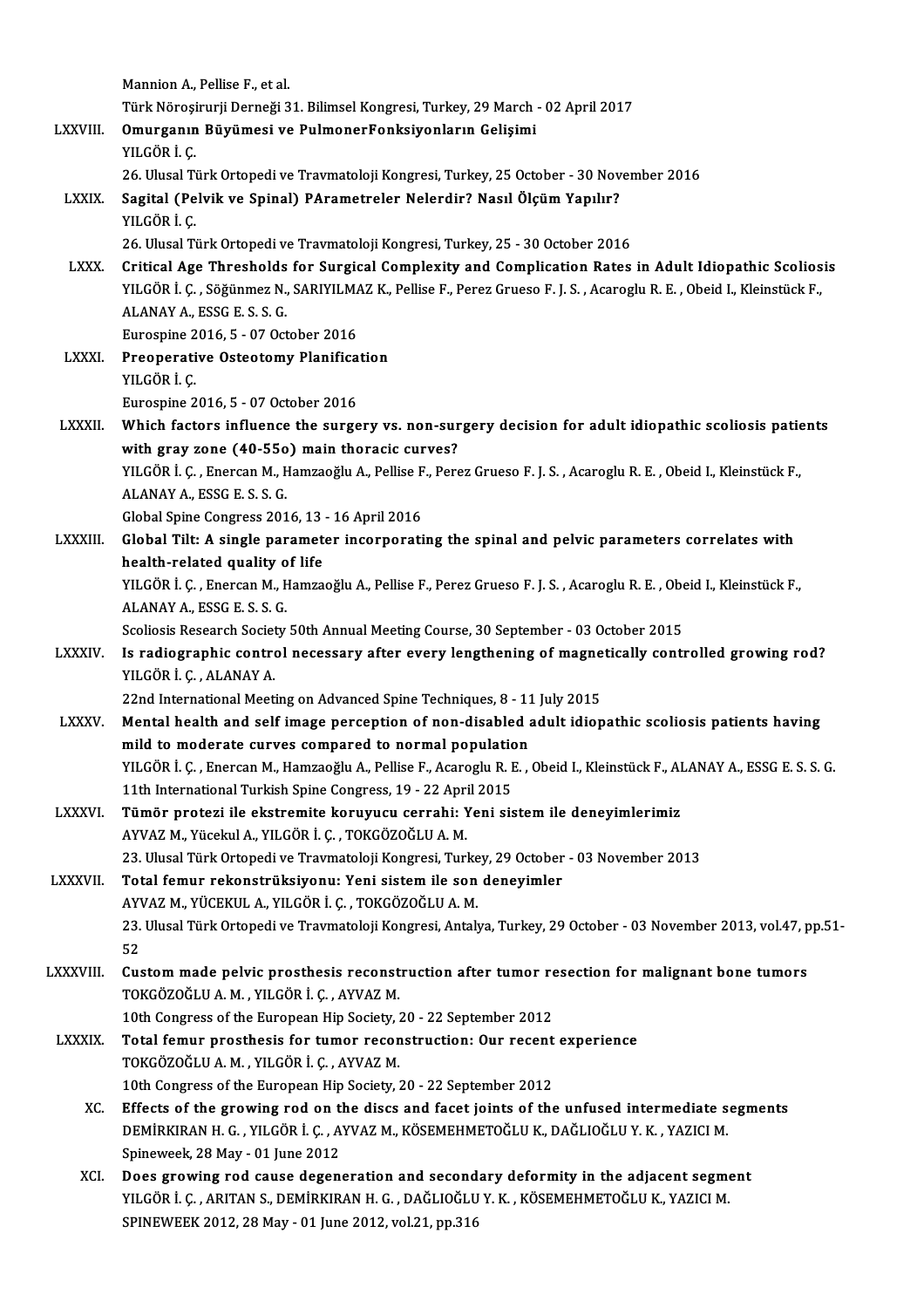|                 | Mannion A., Pellise F., et al.                                                                                                                           |
|-----------------|----------------------------------------------------------------------------------------------------------------------------------------------------------|
|                 | Türk Nöroşirurji Derneği 31. Bilimsel Kongresi, Turkey, 29 March - 02 April 2017                                                                         |
| <b>LXXVIII.</b> | Omurganın Büyümesi ve PulmonerFonksiyonların Gelişimi                                                                                                    |
|                 | YILGÖR İ.Ç.                                                                                                                                              |
|                 | 26. Ulusal Türk Ortopedi ve Travmatoloji Kongresi, Turkey, 25 October - 30 November 2016                                                                 |
| <b>LXXIX</b>    | Sagital (Pelvik ve Spinal) PArametreler Nelerdir? Nasıl Ölçüm Yapılır?                                                                                   |
|                 | YILGÖR İ. Ç.                                                                                                                                             |
|                 | 26. Ulusal Türk Ortopedi ve Travmatoloji Kongresi, Turkey, 25 - 30 October 2016                                                                          |
| <b>LXXX</b>     | Critical Age Thresholds for Surgical Complexity and Complication Rates in Adult Idiopathic Scoliosis                                                     |
|                 | YILGÖR İ. Ç. , Söğünmez N., SARIYILMAZ K., Pellise F., Perez Grueso F. J. S. , Acaroglu R. E. , Obeid I., Kleinstück F.,                                 |
|                 | ALANAY A., ESSG E. S. S. G.                                                                                                                              |
|                 | Eurospine 2016, 5 - 07 October 2016                                                                                                                      |
| <b>LXXXI</b>    | Preoperative Osteotomy Planification                                                                                                                     |
|                 | YILGÖR İ.Ç.                                                                                                                                              |
|                 | Eurospine 2016, 5 - 07 October 2016                                                                                                                      |
| <b>LXXXII.</b>  | Which factors influence the surgery vs. non-surgery decision for adult idiopathic scoliosis patients                                                     |
|                 | with gray zone (40-550) main thoracic curves?                                                                                                            |
|                 | YILGÖR İ. Ç. , Enercan M., Hamzaoğlu A., Pellise F., Perez Grueso F. J. S. , Acaroglu R. E. , Obeid I., Kleinstück F.,                                   |
|                 | ALANAY A., ESSG E. S. S. G.                                                                                                                              |
|                 | Global Spine Congress 2016, 13 - 16 April 2016                                                                                                           |
| LXXXIII.        | Global Tilt: A single parameter incorporating the spinal and pelvic parameters correlates with<br>health-related quality of life                         |
|                 | YILGÖR İ. Ç. , Enercan M., Hamzaoğlu A., Pellise F., Perez Grueso F. J. S. , Acaroglu R. E. , Obeid I., Kleinstück F.,                                   |
|                 | ALANAY A., ESSG E. S. S. G.                                                                                                                              |
|                 | Scoliosis Research Society 50th Annual Meeting Course, 30 September - 03 October 2015                                                                    |
| <b>LXXXIV</b>   | Is radiographic control necessary after every lengthening of magnetically controlled growing rod?                                                        |
|                 | YILGÖR İ.Ç., ALANAY A.                                                                                                                                   |
|                 | 22nd International Meeting on Advanced Spine Techniques, 8 - 11 July 2015                                                                                |
| <b>LXXXV</b>    | Mental health and self image perception of non-disabled adult idiopathic scoliosis patients having                                                       |
|                 | mild to moderate curves compared to normal population                                                                                                    |
|                 | YILGÖR İ. Ç. , Enercan M., Hamzaoğlu A., Pellise F., Acaroglu R. E. , Obeid I., Kleinstück F., ALANAY A., ESSG E. S. S. G.                               |
|                 | 11th International Turkish Spine Congress, 19 - 22 April 2015                                                                                            |
| LXXXVI.         | Tümör protezi ile ekstremite koruyucu cerrahi: Yeni sistem ile deneyimlerimiz                                                                            |
|                 | AYVAZ M., Yücekul A., YILGÖR İ. Ç., TOKGÖZOĞLU A. M.                                                                                                     |
| LXXXVII.        | 23. Ulusal Türk Ortopedi ve Travmatoloji Kongresi, Turkey, 29 October - 03 November 2013<br>Total femur rekonstrüksiyonu: Yeni sistem ile son deneyimler |
|                 | AYVAZ M., YÜCEKUL A., YILGÖR İ. Ç., TOKGÖZOĞLU A. M.                                                                                                     |
|                 | 23. Ulusal Türk Ortopedi ve Travmatoloji Kongresi, Antalya, Turkey, 29 October - 03 November 2013, vol.47, pp.51-                                        |
|                 | 52                                                                                                                                                       |
| LXXXVIII.       | Custom made pelvic prosthesis reconstruction after tumor resection for malignant bone tumors                                                             |
|                 | TOKGÖZOĞLU A.M., YILGÖR İ.Ç., AYVAZ M.                                                                                                                   |
|                 | 10th Congress of the European Hip Society, 20 - 22 September 2012                                                                                        |
| <b>LXXXIX</b>   | Total femur prosthesis for tumor reconstruction: Our recent experience                                                                                   |
|                 | TOKGÖZOĞLU A. M., YILGÖR İ. Ç., AYVAZ M.                                                                                                                 |
|                 | 10th Congress of the European Hip Society, 20 - 22 September 2012                                                                                        |
| XC.             | Effects of the growing rod on the discs and facet joints of the unfused intermediate segments                                                            |
|                 | DEMIRKIRAN H. G., YILGÖR İ. Ç., AYVAZ M., KÖSEMEHMETOĞLU K., DAĞLIOĞLU Y. K., YAZICI M.                                                                  |
|                 | Spineweek, 28 May - 01 June 2012                                                                                                                         |
| XCI.            | Does growing rod cause degeneration and secondary deformity in the adjacent segment                                                                      |
|                 | YILGÖR İ. Ç. , ARITAN S., DEMİRKIRAN H. G. , DAĞLIOĞLU Y. K. , KÖSEMEHMETOĞLU K., YAZICI M.                                                              |
|                 | SPINEWEEK 2012, 28 May - 01 June 2012, vol.21, pp.316                                                                                                    |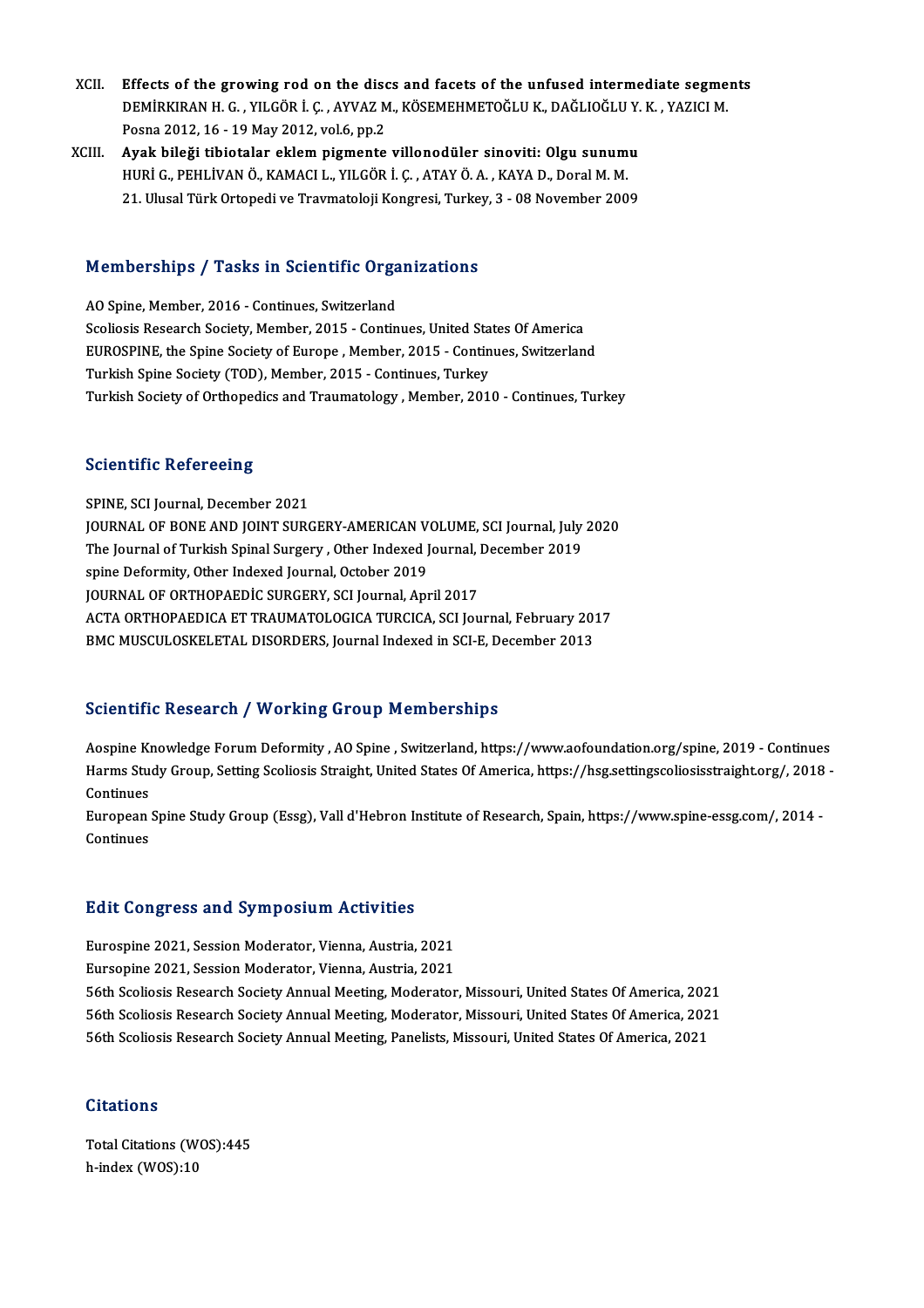- XCII. Effects of the growing rod on the discs and facets of the unfused intermediate segments Effects of the growing rod on the discs and facets of the unfused intermediate segme<br>DEMİRKIRAN H. G. , YILGÖR İ. Ç. , AYVAZ M., KÖSEMEHMETOĞLU K., DAĞLIOĞLU Y. K. , YAZICI M.<br>Pesna 2012-16 , 19 May 2012 yel 6 np 2 Effects of the growing rod on the disc<br>DEMİRKIRAN H. G. , YILGÖR İ. Ç. , AYVAZ M<br>Posna 2012, 16 - 19 May 2012, vol.6, pp.2<br>Avak bileği tibiştalar aklam nismanta DEMİRKIRAN H. G., YILGÖR İ. Ç., AYVAZ M., KÖSEMEHMETOĞLU K., DAĞLIOĞLU Y.<br>Posna 2012, 16 - 19 May 2012, vol.6, pp.2<br>XCIII. Ayak bileği tibiotalar eklem pigmente villonodüler sinoviti: Olgu sunumu<br>HUBİ G. PEHLİVAN Ö. KAMACL
- Posna 2012, 16 19 May 2012, vol.6, pp.2<br><mark>Ayak bileği tibiotalar eklem pigmente villonodüler sinoviti: Olgu sunum</mark><br>HURİ G., PEHLİVAN Ö., KAMACI L., YILGÖR İ. Ç. , ATAY Ö. A. , KAYA D., Doral M. M.<br>21 Hlusal Türk Ortonodi Ayak bileği tibiotalar eklem pigmente villonodüler sinoviti: Olgu sunumu<br>HURİ G., PEHLİVAN Ö., KAMACI L., YILGÖR İ. Ç. , ATAY Ö. A. , KAYA D., Doral M. M.<br>21. Ulusal Türk Ortopedi ve Travmatoloji Kongresi, Turkey, 3 - 08 N

# 21. Olusal Turk Orlopedi ve Travmaloloji Kongresi, Turke<br>Memberships / Tasks in Scientific Organizations

Memberships / Tasks in Scientific Orga<br>AO Spine, Member, 2016 - Continues, Switzerland<br>Scoliacis Bessarsh Seciety, Member, 2015 - Contin Scoliosis Research Society, Member, 2015 - Continues, United States Of America<br>Scoliosis Research Society, Member, 2015 - Continues, United States Of America<br>EUROSPINE the Spine Society of Europe, Member, 2015 - Continues, AO Spine, Member, 2016 - Continues, Switzerland<br>Scoliosis Research Society, Member, 2015 - Continues, United States Of America<br>EUROSPINE, the Spine Society of Europe , Member, 2015 - Continues, Switzerland<br>Turkish Spine So Scoliosis Research Society, Member, 2015 - Continues, United Sta<br>EUROSPINE, the Spine Society of Europe , Member, 2015 - Contin<br>Turkish Spine Society (TOD), Member, 2015 - Continues, Turkey<br>Turkish Society of Outhonodias a Turkish Society of Orthopedics and Traumatology, Member, 2010 - Continues, Turkey

#### **Scientific Refereeing**

SPINE, SCI Journal, December 2021 Boton Erro Reformers<br>SPINE, SCI Journal, December 2021<br>JOURNAL OF BONE AND JOINT SURGERY-AMERICAN VOLUME, SCI Journal, July 2020<br>The Journal of Turkish Spinal Surgery, Other Indexed Journal, December 2019 SPINE, SCI Journal, December 2021<br>JOURNAL OF BONE AND JOINT SURGERY-AMERICAN VOLUME, SCI Journal, July<br>The Journal of Turkish Spinal Surgery , Other Indexed Journal, December 2019<br>spine Defermity, Other Indexed Journal, Oc SPINE OF BONE AND JOINT SURGERY-AMERICAN V.<br>The Journal of Turkish Spinal Surgery , Other Indexed J<br>Spine Deformity, Other Indexed Journal, October 2019<br>JOURNAL OF OPTHORAEDIC SURGERY SCLIQUERAL AP The Journal of Turkish Spinal Surgery , Other Indexed Journal, December 2019<br>spine Deformity, Other Indexed Journal, October 2019<br>JOURNAL OF ORTHOPAEDIC SURGERY, SCI Journal, April 2017 spine Deformity, Other Indexed Journal, October 2019<br>JOURNAL OF ORTHOPAEDIC SURGERY, SCI Journal, April 2017<br>ACTA ORTHOPAEDICA ET TRAUMATOLOGICA TURCICA, SCI Journal, February 2017<br>PMC MUSCULOSKELETAL DISOPDERS, Journal In JOURNAL OF ORTHOPAEDİC SURGERY, SCI Journal, April 2017<br>ACTA ORTHOPAEDICA ET TRAUMATOLOGICA TURCICA, SCI Journal, February 201<br>BMC MUSCULOSKELETAL DISORDERS, Journal Indexed in SCI-E, December 2013 BMC MUSCULOSKELETAL DISORDERS, Journal Indexed in SCI-E, December 2013<br>Scientific Research / Working Group Memberships

Aospine Knowledge Forum Deformity , AO Spine , Switzerland, https://www.aofoundation.org/spine, 2019 - Continues Berefirms Resear on 7 Tw of King at Sup-Frember simple<br>Aospine Knowledge Forum Deformity , AO Spine , Switzerland, https://www.aofoundation.org/spine, 2019 - Continues<br>Continues Aospine Ki<br>Harms Stu<br>Continues<br>European Harms Study Group, Setting Scoliosis Straight, United States Of America, https://hsg.settingscoliosisstraight.org/, 2018<br>Continues<br>European Spine Study Group (Essg), Vall d'Hebron Institute of Research, Spain, https://www.

Continues<br>European Spine Study Group (Essg), Vall d'Hebron Institute of Research, Spain, https://www.spine-essg.com/, 2014 -<br>Continues

# conunues<br>Edit Congress and Symposium Activities

Edit Congress and Symposium Activities<br>Eurospine 2021, Session Moderator, Vienna, Austria, 2021<br>Eursenine 2021, Session Moderator, Vienna, Austria, 2021 Eurospine 2021, Session Moderator, Vienna, Austria, 2021<br>Eursopine 2021, Session Moderator, Vienna, Austria, 2021 Eurospine 2021, Session Moderator, Vienna, Austria, 2021<br>Eursopine 2021, Session Moderator, Vienna, Austria, 2021<br>56th Scoliosis Research Society Annual Meeting, Moderator, Missouri, United States Of America, 2021<br>56th Sco Eursopine 2021, Session Moderator, Vienna, Austria, 2021<br>56th Scoliosis Research Society Annual Meeting, Moderator, Missouri, United States Of America, 2021<br>56th Scoliosis Research Society Annual Meeting, Moderator, Missou 56th Scoliosis Research Society Annual Meeting, Moderator, Missouri, United States Of America, 202<br>56th Scoliosis Research Society Annual Meeting, Moderator, Missouri, United States Of America, 202<br>56th Scoliosis Research 56th Scoliosis Research Society Annual Meeting, Panelists, Missouri, United States Of America, 2021<br>Citations

Citations<br>Total Citations (WOS):445<br>b.indox (WOS):10 h-index (WOS):10